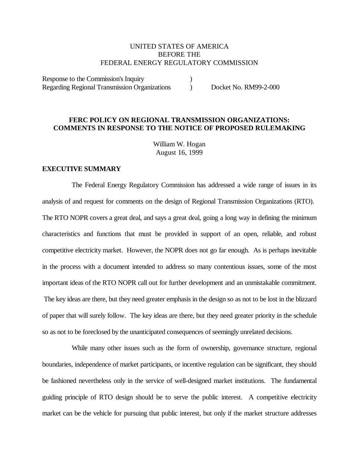## UNITED STATES OF AMERICA BEFORE THE FEDERAL ENERGY REGULATORY COMMISSION

Response to the Commission's Inquiry (1) Regarding Regional Transmission Organizations (b) Docket No. RM99-2-000

## **FERC POLICY ON REGIONAL TRANSMISSION ORGANIZATIONS: COMMENTS IN RESPONSE TO THE NOTICE OF PROPOSED RULEMAKING**

William W. Hogan August 16, 1999

## **EXECUTIVE SUMMARY**

The Federal Energy Regulatory Commission has addressed a wide range of issues in its analysis of and request for comments on the design of Regional Transmission Organizations (RTO). The RTO NOPR covers a great deal, and says a great deal, going a long way in defining the minimum characteristics and functions that must be provided in support of an open, reliable, and robust competitive electricity market. However, the NOPR does not go far enough. As is perhaps inevitable in the process with a document intended to address so many contentious issues, some of the most important ideas of the RTO NOPR call out for further development and an unmistakable commitment. The key ideas are there, but they need greater emphasis in the design so as not to be lost in the blizzard of paper that will surely follow. The key ideas are there, but they need greater priority in the schedule so as not to be foreclosed by the unanticipated consequences of seemingly unrelated decisions.

While many other issues such as the form of ownership, governance structure, regional boundaries, independence of market participants, or incentive regulation can be significant, they should be fashioned nevertheless only in the service of well-designed market institutions. The fundamental guiding principle of RTO design should be to serve the public interest. A competitive electricity market can be the vehicle for pursuing that public interest, but only if the market structure addresses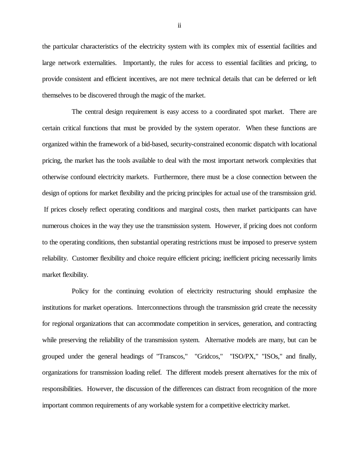the particular characteristics of the electricity system with its complex mix of essential facilities and large network externalities. Importantly, the rules for access to essential facilities and pricing, to provide consistent and efficient incentives, are not mere technical details that can be deferred or left themselves to be discovered through the magic of the market.

The central design requirement is easy access to a coordinated spot market. There are certain critical functions that must be provided by the system operator. When these functions are organized within the framework of a bid-based, security-constrained economic dispatch with locational pricing, the market has the tools available to deal with the most important network complexities that otherwise confound electricity markets. Furthermore, there must be a close connection between the design of options for market flexibility and the pricing principles for actual use of the transmission grid. If prices closely reflect operating conditions and marginal costs, then market participants can have numerous choices in the way they use the transmission system. However, if pricing does not conform to the operating conditions, then substantial operating restrictions must be imposed to preserve system reliability. Customer flexibility and choice require efficient pricing; inefficient pricing necessarily limits market flexibility.

Policy for the continuing evolution of electricity restructuring should emphasize the institutions for market operations. Interconnections through the transmission grid create the necessity for regional organizations that can accommodate competition in services, generation, and contracting while preserving the reliability of the transmission system. Alternative models are many, but can be grouped under the general headings of "Transcos," "Gridcos," "ISO/PX," "ISOs," and finally, organizations for transmission loading relief. The different models present alternatives for the mix of responsibilities. However, the discussion of the differences can distract from recognition of the more important common requirements of any workable system for a competitive electricity market.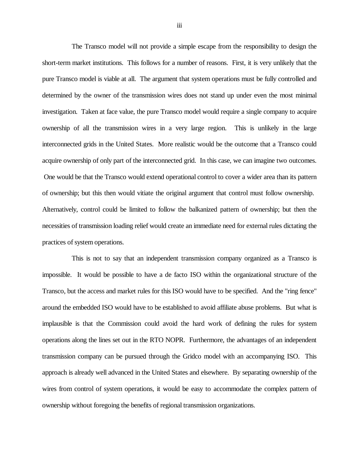The Transco model will not provide a simple escape from the responsibility to design the short-term market institutions. This follows for a number of reasons. First, it is very unlikely that the pure Transco model is viable at all. The argument that system operations must be fully controlled and determined by the owner of the transmission wires does not stand up under even the most minimal investigation. Taken at face value, the pure Transco model would require a single company to acquire ownership of all the transmission wires in a very large region. This is unlikely in the large interconnected grids in the United States. More realistic would be the outcome that a Transco could acquire ownership of only part of the interconnected grid. In this case, we can imagine two outcomes. One would be that the Transco would extend operational control to cover a wider area than its pattern of ownership; but this then would vitiate the original argument that control must follow ownership. Alternatively, control could be limited to follow the balkanized pattern of ownership; but then the necessities of transmission loading relief would create an immediate need for external rules dictating the practices of system operations.

This is not to say that an independent transmission company organized as a Transco is impossible. It would be possible to have a de facto ISO within the organizational structure of the Transco, but the access and market rules for this ISO would have to be specified. And the "ring fence" around the embedded ISO would have to be established to avoid affiliate abuse problems. But what is implausible is that the Commission could avoid the hard work of defining the rules for system operations along the lines set out in the RTO NOPR. Furthermore, the advantages of an independent transmission company can be pursued through the Gridco model with an accompanying ISO. This approach is already well advanced in the United States and elsewhere. By separating ownership of the wires from control of system operations, it would be easy to accommodate the complex pattern of ownership without foregoing the benefits of regional transmission organizations.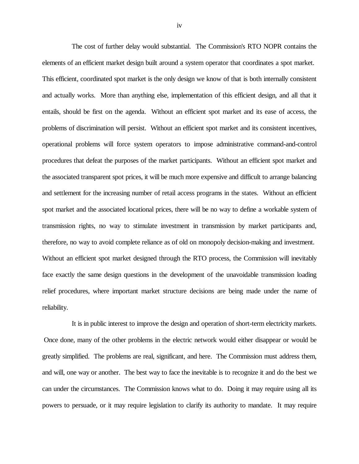The cost of further delay would substantial. The Commission's RTO NOPR contains the elements of an efficient market design built around a system operator that coordinates a spot market. This efficient, coordinated spot market is the only design we know of that is both internally consistent and actually works. More than anything else, implementation of this efficient design, and all that it entails, should be first on the agenda. Without an efficient spot market and its ease of access, the problems of discrimination will persist. Without an efficient spot market and its consistent incentives, operational problems will force system operators to impose administrative command-and-control procedures that defeat the purposes of the market participants. Without an efficient spot market and the associated transparent spot prices, it will be much more expensive and difficult to arrange balancing and settlement for the increasing number of retail access programs in the states. Without an efficient spot market and the associated locational prices, there will be no way to define a workable system of transmission rights, no way to stimulate investment in transmission by market participants and, therefore, no way to avoid complete reliance as of old on monopoly decision-making and investment. Without an efficient spot market designed through the RTO process, the Commission will inevitably face exactly the same design questions in the development of the unavoidable transmission loading relief procedures, where important market structure decisions are being made under the name of reliability.

It is in public interest to improve the design and operation of short-term electricity markets. Once done, many of the other problems in the electric network would either disappear or would be greatly simplified. The problems are real, significant, and here. The Commission must address them, and will, one way or another. The best way to face the inevitable is to recognize it and do the best we can under the circumstances. The Commission knows what to do. Doing it may require using all its powers to persuade, or it may require legislation to clarify its authority to mandate. It may require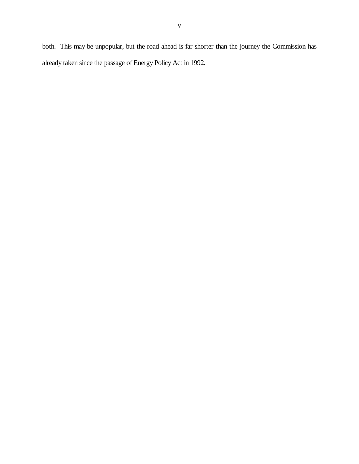both. This may be unpopular, but the road ahead is far shorter than the journey the Commission has already taken since the passage of Energy Policy Act in 1992.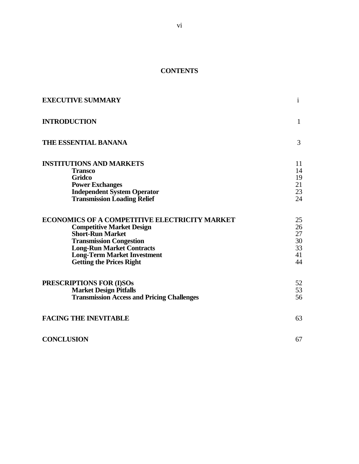## **CONTENTS**

| <b>EXECUTIVE SUMMARY</b>                                                                                                                                                                                                                                           | $\mathbf{1}$                           |
|--------------------------------------------------------------------------------------------------------------------------------------------------------------------------------------------------------------------------------------------------------------------|----------------------------------------|
| <b>INTRODUCTION</b>                                                                                                                                                                                                                                                | 1                                      |
| THE ESSENTIAL BANANA                                                                                                                                                                                                                                               | 3                                      |
| <b>INSTITUTIONS AND MARKETS</b><br><b>Transco</b><br><b>Gridco</b><br><b>Power Exchanges</b><br><b>Independent System Operator</b><br><b>Transmission Loading Relief</b>                                                                                           | 11<br>14<br>19<br>21<br>23<br>24       |
| <b>ECONOMICS OF A COMPETITIVE ELECTRICITY MARKET</b><br><b>Competitive Market Design</b><br><b>Short-Run Market</b><br><b>Transmission Congestion</b><br><b>Long-Run Market Contracts</b><br><b>Long-Term Market Investment</b><br><b>Getting the Prices Right</b> | 25<br>26<br>27<br>30<br>33<br>41<br>44 |
| PRESCRIPTIONS FOR (I)SOs<br><b>Market Design Pitfalls</b><br><b>Transmission Access and Pricing Challenges</b>                                                                                                                                                     | 52<br>53<br>56                         |
| <b>FACING THE INEVITABLE</b>                                                                                                                                                                                                                                       | 63                                     |
| <b>CONCLUSION</b>                                                                                                                                                                                                                                                  | 67                                     |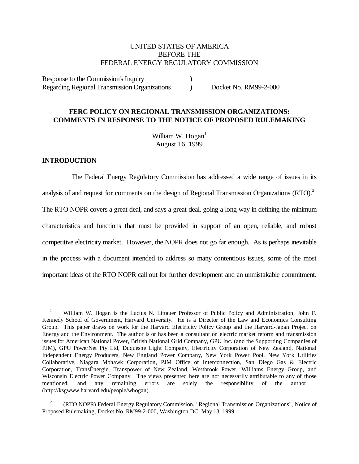## UNITED STATES OF AMERICA BEFORE THE FEDERAL ENERGY REGULATORY COMMISSION

Response to the Commission's Inquiry (1) Regarding Regional Transmission Organizations (b) Docket No. RM99-2-000

## **FERC POLICY ON REGIONAL TRANSMISSION ORGANIZATIONS: COMMENTS IN RESPONSE TO THE NOTICE OF PROPOSED RULEMAKING**

William W. Hogan<sup>1</sup> August 16, 1999

### **INTRODUCTION**

÷,

The Federal Energy Regulatory Commission has addressed a wide range of issues in its analysis of and request for comments on the design of Regional Transmission Organizations  $(RTO)^2$ The RTO NOPR covers a great deal, and says a great deal, going a long way in defining the minimum characteristics and functions that must be provided in support of an open, reliable, and robust competitive electricity market. However, the NOPR does not go far enough. As is perhaps inevitable in the process with a document intended to address so many contentious issues, some of the most important ideas of the RTO NOPR call out for further development and an unmistakable commitment.

<sup>1</sup> William W. Hogan is the Lucius N. Littauer Professor of Public Policy and Administration, John F. Kennedy School of Government, Harvard University. He is a Director of the Law and Economics Consulting Group. This paper draws on work for the Harvard Electricity Policy Group and the Harvard-Japan Project on Energy and the Environment. The author is or has been a consultant on electric market reform and transmission issues for American National Power, British National Grid Company, GPU Inc. (and the Supporting Companies of PJM), GPU PowerNet Pty Ltd, Duquesne Light Company, Electricity Corporation of New Zealand, National Independent Energy Producers, New England Power Company, New York Power Pool, New York Utilities Collaborative, Niagara Mohawk Corporation, PJM Office of Interconnection, San Diego Gas & Electric Corporation, TransÉnergie, Transpower of New Zealand, Westbrook Power, Williams Energy Group, and Wisconsin Electric Power Company. The views presented here are not necessarily attributable to any of those mentioned, and any remaining errors are solely the responsibility of the author. (http://ksgwww.harvard.edu/people/whogan).

<sup>2</sup> (RTO NOPR) Federal Energy Regulatory Commission, "Regional Transmission Organizations", Notice of Proposed Rulemaking, Docket No. RM99-2-000, Washington DC, May 13, 1999.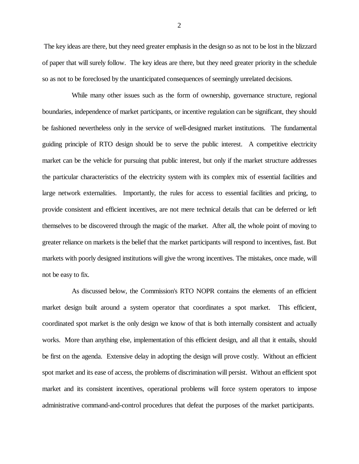The key ideas are there, but they need greater emphasis in the design so as not to be lost in the blizzard of paper that will surely follow. The key ideas are there, but they need greater priority in the schedule so as not to be foreclosed by the unanticipated consequences of seemingly unrelated decisions.

While many other issues such as the form of ownership, governance structure, regional boundaries, independence of market participants, or incentive regulation can be significant, they should be fashioned nevertheless only in the service of well-designed market institutions. The fundamental guiding principle of RTO design should be to serve the public interest. A competitive electricity market can be the vehicle for pursuing that public interest, but only if the market structure addresses the particular characteristics of the electricity system with its complex mix of essential facilities and large network externalities. Importantly, the rules for access to essential facilities and pricing, to provide consistent and efficient incentives, are not mere technical details that can be deferred or left themselves to be discovered through the magic of the market. After all, the whole point of moving to greater reliance on markets is the belief that the market participants will respond to incentives, fast. But markets with poorly designed institutions will give the wrong incentives. The mistakes, once made, will not be easy to fix.

 As discussed below, the Commission's RTO NOPR contains the elements of an efficient market design built around a system operator that coordinates a spot market. This efficient, coordinated spot market is the only design we know of that is both internally consistent and actually works. More than anything else, implementation of this efficient design, and all that it entails, should be first on the agenda. Extensive delay in adopting the design will prove costly. Without an efficient spot market and its ease of access, the problems of discrimination will persist. Without an efficient spot market and its consistent incentives, operational problems will force system operators to impose administrative command-and-control procedures that defeat the purposes of the market participants.

2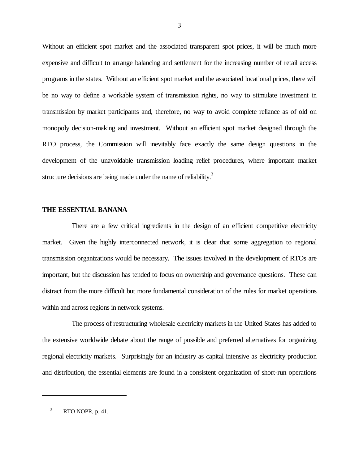Without an efficient spot market and the associated transparent spot prices, it will be much more expensive and difficult to arrange balancing and settlement for the increasing number of retail access programs in the states. Without an efficient spot market and the associated locational prices, there will be no way to define a workable system of transmission rights, no way to stimulate investment in transmission by market participants and, therefore, no way to avoid complete reliance as of old on monopoly decision-making and investment. Without an efficient spot market designed through the RTO process, the Commission will inevitably face exactly the same design questions in the development of the unavoidable transmission loading relief procedures, where important market structure decisions are being made under the name of reliability.<sup>3</sup>

### **THE ESSENTIAL BANANA**

There are a few critical ingredients in the design of an efficient competitive electricity market. Given the highly interconnected network, it is clear that some aggregation to regional transmission organizations would be necessary. The issues involved in the development of RTOs are important, but the discussion has tended to focus on ownership and governance questions. These can distract from the more difficult but more fundamental consideration of the rules for market operations within and across regions in network systems.

The process of restructuring wholesale electricity markets in the United States has added to the extensive worldwide debate about the range of possible and preferred alternatives for organizing regional electricity markets. Surprisingly for an industry as capital intensive as electricity production and distribution, the essential elements are found in a consistent organization of short-run operations

 $3$  RTO NOPR, p. 41.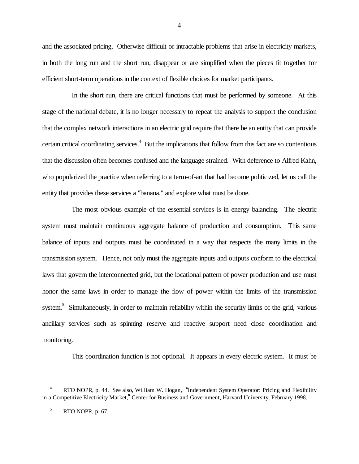and the associated pricing. Otherwise difficult or intractable problems that arise in electricity markets, in both the long run and the short run, disappear or are simplified when the pieces fit together for efficient short-term operations in the context of flexible choices for market participants.

In the short run, there are critical functions that must be performed by someone. At this stage of the national debate, it is no longer necessary to repeat the analysis to support the conclusion that the complex network interactions in an electric grid require that there be an entity that can provide certain critical coordinating services.<sup>4</sup> But the implications that follow from this fact are so contentious that the discussion often becomes confused and the language strained. With deference to Alfred Kahn, who popularized the practice when referring to a term-of-art that had become politicized, let us call the entity that provides these services a "banana," and explore what must be done.

The most obvious example of the essential services is in energy balancing. The electric system must maintain continuous aggregate balance of production and consumption. This same balance of inputs and outputs must be coordinated in a way that respects the many limits in the transmission system. Hence, not only must the aggregate inputs and outputs conform to the electrical laws that govern the interconnected grid, but the locational pattern of power production and use must honor the same laws in order to manage the flow of power within the limits of the transmission system.<sup>5</sup> Simultaneously, in order to maintain reliability within the security limits of the grid, various ancillary services such as spinning reserve and reactive support need close coordination and monitoring.

This coordination function is not optional. It appears in every electric system. It must be

L,

4

RTO NOPR, p. 44. See also, William W. Hogan, "Independent System Operator: Pricing and Flexibility in a Competitive Electricity Market," Center for Business and Government, Harvard University, February 1998.

 $5$  RTO NOPR, p. 67.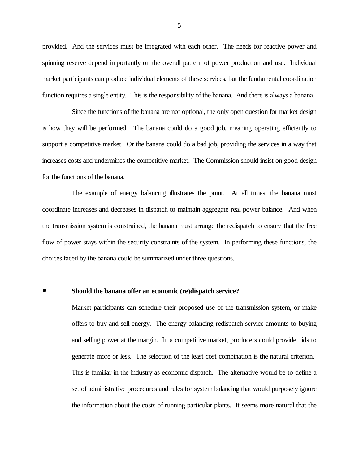provided. And the services must be integrated with each other. The needs for reactive power and spinning reserve depend importantly on the overall pattern of power production and use. Individual market participants can produce individual elements of these services, but the fundamental coordination function requires a single entity. This is the responsibility of the banana. And there is always a banana.

Since the functions of the banana are not optional, the only open question for market design is how they will be performed. The banana could do a good job, meaning operating efficiently to support a competitive market. Or the banana could do a bad job, providing the services in a way that increases costs and undermines the competitive market. The Commission should insist on good design for the functions of the banana.

The example of energy balancing illustrates the point. At all times, the banana must coordinate increases and decreases in dispatch to maintain aggregate real power balance. And when the transmission system is constrained, the banana must arrange the redispatch to ensure that the free flow of power stays within the security constraints of the system. In performing these functions, the choices faced by the banana could be summarized under three questions.

#### $\bullet$ **Should the banana offer an economic (re)dispatch service?**

Market participants can schedule their proposed use of the transmission system, or make offers to buy and sell energy. The energy balancing redispatch service amounts to buying and selling power at the margin. In a competitive market, producers could provide bids to generate more or less. The selection of the least cost combination is the natural criterion. This is familiar in the industry as economic dispatch. The alternative would be to define a set of administrative procedures and rules for system balancing that would purposely ignore the information about the costs of running particular plants. It seems more natural that the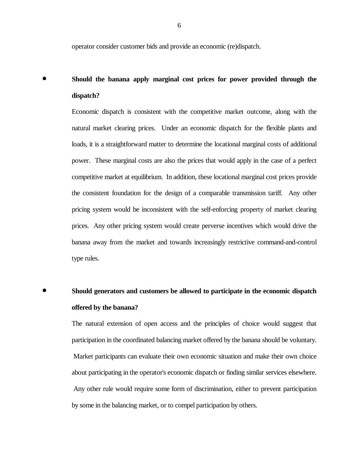operator consider customer bids and provide an economic (re)dispatch.

# $\bullet$  **Should the banana apply marginal cost prices for power provided through the dispatch?**

Economic dispatch is consistent with the competitive market outcome, along with the natural market clearing prices. Under an economic dispatch for the flexible plants and loads, it is a straightforward matter to determine the locational marginal costs of additional power. These marginal costs are also the prices that would apply in the case of a perfect competitive market at equilibrium. In addition, these locational marginal cost prices provide the consistent foundation for the design of a comparable transmission tariff. Any other pricing system would be inconsistent with the self-enforcing property of market clearing prices. Any other pricing system would create perverse incentives which would drive the banana away from the market and towards increasingly restrictive command-and-control type rules.

## $\bullet$  **Should generators and customers be allowed to participate in the economic dispatch offered by the banana?**

The natural extension of open access and the principles of choice would suggest that participation in the coordinated balancing market offered by the banana should be voluntary. Market participants can evaluate their own economic situation and make their own choice about participating in the operator's economic dispatch or finding similar services elsewhere. Any other rule would require some form of discrimination, either to prevent participation by some in the balancing market, or to compel participation by others.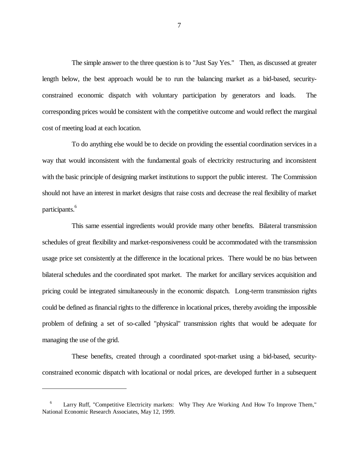The simple answer to the three question is to "Just Say Yes." Then, as discussed at greater length below, the best approach would be to run the balancing market as a bid-based, securityconstrained economic dispatch with voluntary participation by generators and loads. The corresponding prices would be consistent with the competitive outcome and would reflect the marginal cost of meeting load at each location.

To do anything else would be to decide on providing the essential coordination services in a way that would inconsistent with the fundamental goals of electricity restructuring and inconsistent with the basic principle of designing market institutions to support the public interest. The Commission should not have an interest in market designs that raise costs and decrease the real flexibility of market participants.<sup>6</sup>

This same essential ingredients would provide many other benefits. Bilateral transmission schedules of great flexibility and market-responsiveness could be accommodated with the transmission usage price set consistently at the difference in the locational prices. There would be no bias between bilateral schedules and the coordinated spot market. The market for ancillary services acquisition and pricing could be integrated simultaneously in the economic dispatch. Long-term transmission rights could be defined as financial rights to the difference in locational prices, thereby avoiding the impossible problem of defining a set of so-called "physical" transmission rights that would be adequate for managing the use of the grid.

These benefits, created through a coordinated spot-market using a bid-based, securityconstrained economic dispatch with locational or nodal prices, are developed further in a subsequent

Larry Ruff, "Competitive Electricity markets: Why They Are Working And How To Improve Them," National Economic Research Associates, May 12, 1999.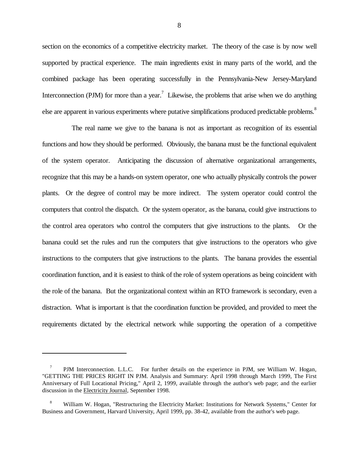section on the economics of a competitive electricity market. The theory of the case is by now well supported by practical experience. The main ingredients exist in many parts of the world, and the combined package has been operating successfully in the Pennsylvania-New Jersey-Maryland Interconnection (PJM) for more than a year.<sup>7</sup> Likewise, the problems that arise when we do anything else are apparent in various experiments where putative simplifications produced predictable problems.<sup>8</sup>

The real name we give to the banana is not as important as recognition of its essential functions and how they should be performed. Obviously, the banana must be the functional equivalent of the system operator. Anticipating the discussion of alternative organizational arrangements, recognize that this may be a hands-on system operator, one who actually physically controls the power plants. Or the degree of control may be more indirect. The system operator could control the computers that control the dispatch. Or the system operator, as the banana, could give instructions to the control area operators who control the computers that give instructions to the plants. Or the banana could set the rules and run the computers that give instructions to the operators who give instructions to the computers that give instructions to the plants. The banana provides the essential coordination function, and it is easiest to think of the role of system operations as being coincident with the role of the banana. But the organizational context within an RTO framework is secondary, even a distraction. What is important is that the coordination function be provided, and provided to meet the requirements dictated by the electrical network while supporting the operation of a competitive

<sup>7</sup> PJM Interconnection. L.L.C. For further details on the experience in PJM, see William W. Hogan, "GETTING THE PRICES RIGHT IN PJM. Analysis and Summary: April 1998 through March 1999, The First Anniversary of Full Locational Pricing," April 2, 1999, available through the author's web page; and the earlier discussion in the Electricity Journal, September 1998.

<sup>8</sup> William W. Hogan, "Restructuring the Electricity Market: Institutions for Network Systems," Center for Business and Government, Harvard University, April 1999, pp. 38-42, available from the author's web page.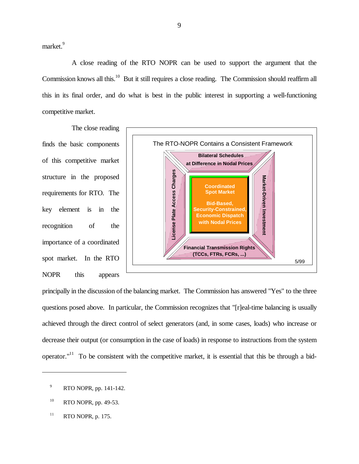market.<sup>9</sup>

A close reading of the RTO NOPR can be used to support the argument that the Commission knows all this.<sup>10</sup> But it still requires a close reading. The Commission should reaffirm all this in its final order, and do what is best in the public interest in supporting a well-functioning competitive market.

The close reading finds the basic components of this competitive market structure in the proposed requirements for RTO. The key element is in the recognition of the importance of a coordinated spot market. In the RTO NOPR this appears



principally in the discussion of the balancing market. The Commission has answered "Yes" to the three questions posed above. In particular, the Commission recognizes that "[r]eal-time balancing is usually achieved through the direct control of select generators (and, in some cases, loads) who increase or decrease their output (or consumption in the case of loads) in response to instructions from the system operator."<sup>11</sup> To be consistent with the competitive market, it is essential that this be through a bid-

 $11$  RTO NOPR, p. 175.

 $^{9}$  RTO NOPR, pp. 141-142.

 $10$  RTO NOPR, pp. 49-53.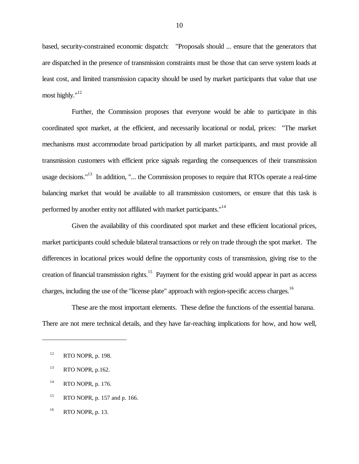based, security-constrained economic dispatch: "Proposals should ... ensure that the generators that are dispatched in the presence of transmission constraints must be those that can serve system loads at least cost, and limited transmission capacity should be used by market participants that value that use most highly."<sup>12</sup>

Further, the Commission proposes that everyone would be able to participate in this coordinated spot market, at the efficient, and necessarily locational or nodal, prices: "The market mechanisms must accommodate broad participation by all market participants, and must provide all transmission customers with efficient price signals regarding the consequences of their transmission usage decisions."13 In addition, "... the Commission proposes to require that RTOs operate a real-time balancing market that would be available to all transmission customers, or ensure that this task is performed by another entity not affiliated with market participants."<sup>14</sup>

Given the availability of this coordinated spot market and these efficient locational prices, market participants could schedule bilateral transactions or rely on trade through the spot market. The differences in locational prices would define the opportunity costs of transmission, giving rise to the creation of financial transmission rights.<sup>15</sup> Payment for the existing grid would appear in part as access charges, including the use of the "license plate" approach with region-specific access charges.<sup>16</sup>

These are the most important elements. These define the functions of the essential banana. There are not mere technical details, and they have far-reaching implications for how, and how well,

÷,

<sup>15</sup> RTO NOPR, p. 157 and p. 166.

 $12$  RTO NOPR, p. 198.

<sup>&</sup>lt;sup>13</sup> RTO NOPR, p.162.

 $14$  RTO NOPR, p. 176.

<sup>16</sup> RTO NOPR, p. 13.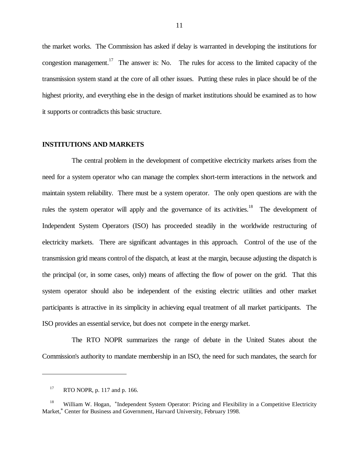the market works. The Commission has asked if delay is warranted in developing the institutions for congestion management.<sup>17</sup> The answer is: No. The rules for access to the limited capacity of the transmission system stand at the core of all other issues. Putting these rules in place should be of the highest priority, and everything else in the design of market institutions should be examined as to how it supports or contradicts this basic structure.

#### **INSTITUTIONS AND MARKETS**

The central problem in the development of competitive electricity markets arises from the need for a system operator who can manage the complex short-term interactions in the network and maintain system reliability. There must be a system operator. The only open questions are with the rules the system operator will apply and the governance of its activities.<sup>18</sup> The development of Independent System Operators (ISO) has proceeded steadily in the worldwide restructuring of electricity markets. There are significant advantages in this approach. Control of the use of the transmission grid means control of the dispatch, at least at the margin, because adjusting the dispatch is the principal (or, in some cases, only) means of affecting the flow of power on the grid. That this system operator should also be independent of the existing electric utilities and other market participants is attractive in its simplicity in achieving equal treatment of all market participants. The ISO provides an essential service, but does not compete in the energy market.

The RTO NOPR summarizes the range of debate in the United States about the Commission's authority to mandate membership in an ISO, the need for such mandates, the search for

L,

<sup>17</sup> RTO NOPR, p. 117 and p. 166.

William W. Hogan, "Independent System Operator: Pricing and Flexibility in a Competitive Electricity Market," Center for Business and Government, Harvard University, February 1998.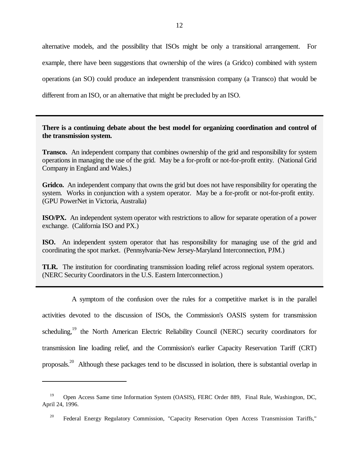alternative models, and the possibility that ISOs might be only a transitional arrangement. For example, there have been suggestions that ownership of the wires (a Gridco) combined with system operations (an SO) could produce an independent transmission company (a Transco) that would be different from an ISO, or an alternative that might be precluded by an ISO.

## **There is a continuing debate about the best model for organizing coordination and control of the transmission system.**

**Transco.** An independent company that combines ownership of the grid and responsibility for system operations in managing the use of the grid. May be a for-profit or not-for-profit entity. (National Grid Company in England and Wales.)

**Gridco.** An independent company that owns the grid but does not have responsibility for operating the system. Works in conjunction with a system operator. May be a for-profit or not-for-profit entity. (GPU PowerNet in Victoria, Australia)

**ISO/PX.** An independent system operator with restrictions to allow for separate operation of a power exchange. (California ISO and PX.)

**ISO.** An independent system operator that has responsibility for managing use of the grid and coordinating the spot market. (Pennsylvania-New Jersey-Maryland Interconnection, PJM.)

**TLR.** The institution for coordinating transmission loading relief across regional system operators. (NERC Security Coordinators in the U.S. Eastern Interconnection.)

A symptom of the confusion over the rules for a competitive market is in the parallel activities devoted to the discussion of ISOs, the Commission's OASIS system for transmission scheduling,<sup>19</sup> the North American Electric Reliability Council (NERC) security coordinators for transmission line loading relief, and the Commission's earlier Capacity Reservation Tariff (CRT) proposals.20 Although these packages tend to be discussed in isolation, there is substantial overlap in

<sup>&</sup>lt;sup>19</sup> Open Access Same time Information System (OASIS), FERC Order 889, Final Rule, Washington, DC, April 24, 1996.

<sup>&</sup>lt;sup>20</sup> Federal Energy Regulatory Commission, "Capacity Reservation Open Access Transmission Tariffs,"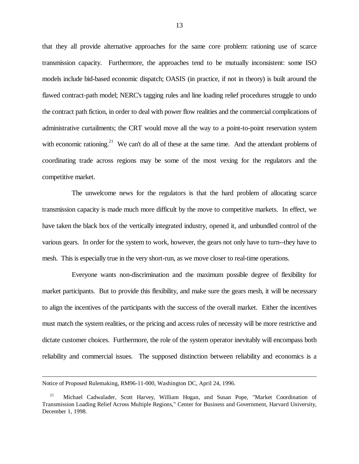that they all provide alternative approaches for the same core problem: rationing use of scarce transmission capacity. Furthermore, the approaches tend to be mutually inconsistent: some ISO models include bid-based economic dispatch; OASIS (in practice, if not in theory) is built around the flawed contract-path model; NERC's tagging rules and line loading relief procedures struggle to undo the contract path fiction, in order to deal with power flow realities and the commercial complications of administrative curtailments; the CRT would move all the way to a point-to-point reservation system with economic rationing.<sup>21</sup> We can't do all of these at the same time. And the attendant problems of coordinating trade across regions may be some of the most vexing for the regulators and the competitive market.

The unwelcome news for the regulators is that the hard problem of allocating scarce transmission capacity is made much more difficult by the move to competitive markets. In effect, we have taken the black box of the vertically integrated industry, opened it, and unbundled control of the various gears. In order for the system to work, however, the gears not only have to turn--they have to mesh. This is especially true in the very short-run, as we move closer to real-time operations.

Everyone wants non-discrimination and the maximum possible degree of flexibility for market participants. But to provide this flexibility, and make sure the gears mesh, it will be necessary to align the incentives of the participants with the success of the overall market. Either the incentives must match the system realities, or the pricing and access rules of necessity will be more restrictive and dictate customer choices. Furthermore, the role of the system operator inevitably will encompass both reliability and commercial issues. The supposed distinction between reliability and economics is a

Notice of Proposed Rulemaking, RM96-11-000, Washington DC, April 24, 1996.

<sup>21</sup> Michael Cadwalader, Scott Harvey, William Hogan, and Susan Pope, "Market Coordination of Transmission Loading Relief Across Multiple Regions," Center for Business and Government, Harvard University, December 1, 1998.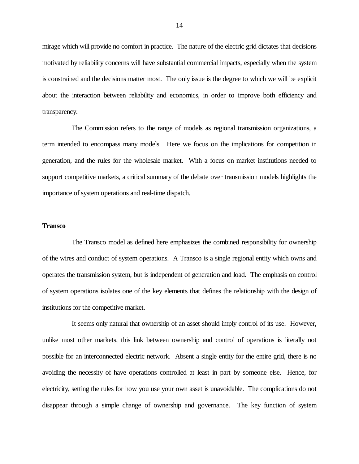mirage which will provide no comfort in practice. The nature of the electric grid dictates that decisions motivated by reliability concerns will have substantial commercial impacts, especially when the system is constrained and the decisions matter most. The only issue is the degree to which we will be explicit about the interaction between reliability and economics, in order to improve both efficiency and transparency.

The Commission refers to the range of models as regional transmission organizations, a term intended to encompass many models. Here we focus on the implications for competition in generation, and the rules for the wholesale market. With a focus on market institutions needed to support competitive markets, a critical summary of the debate over transmission models highlights the importance of system operations and real-time dispatch.

### **Transco**

The Transco model as defined here emphasizes the combined responsibility for ownership of the wires and conduct of system operations. A Transco is a single regional entity which owns and operates the transmission system, but is independent of generation and load. The emphasis on control of system operations isolates one of the key elements that defines the relationship with the design of institutions for the competitive market.

It seems only natural that ownership of an asset should imply control of its use. However, unlike most other markets, this link between ownership and control of operations is literally not possible for an interconnected electric network. Absent a single entity for the entire grid, there is no avoiding the necessity of have operations controlled at least in part by someone else. Hence, for electricity, setting the rules for how you use your own asset is unavoidable. The complications do not disappear through a simple change of ownership and governance. The key function of system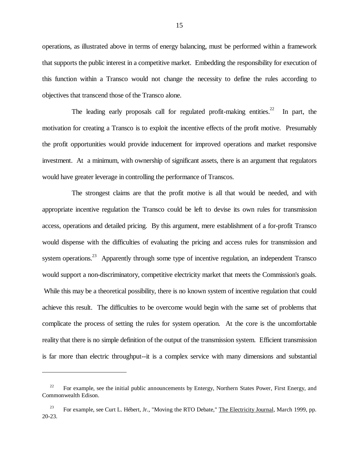operations, as illustrated above in terms of energy balancing, must be performed within a framework that supports the public interest in a competitive market. Embedding the responsibility for execution of this function within a Transco would not change the necessity to define the rules according to objectives that transcend those of the Transco alone.

The leading early proposals call for regulated profit-making entities.<sup>22</sup> In part, the motivation for creating a Transco is to exploit the incentive effects of the profit motive. Presumably the profit opportunities would provide inducement for improved operations and market responsive investment. At a minimum, with ownership of significant assets, there is an argument that regulators would have greater leverage in controlling the performance of Transcos.

The strongest claims are that the profit motive is all that would be needed, and with appropriate incentive regulation the Transco could be left to devise its own rules for transmission access, operations and detailed pricing. By this argument, mere establishment of a for-profit Transco would dispense with the difficulties of evaluating the pricing and access rules for transmission and system operations.<sup>23</sup> Apparently through some type of incentive regulation, an independent Transco would support a non-discriminatory, competitive electricity market that meets the Commission's goals. While this may be a theoretical possibility, there is no known system of incentive regulation that could achieve this result. The difficulties to be overcome would begin with the same set of problems that complicate the process of setting the rules for system operation. At the core is the uncomfortable reality that there is no simple definition of the output of the transmission system. Efficient transmission is far more than electric throughput--it is a complex service with many dimensions and substantial

<sup>&</sup>lt;sup>22</sup> For example, see the initial public announcements by Entergy, Northern States Power, First Energy, and Commonwealth Edison.

<sup>&</sup>lt;sup>23</sup> For example, see Curt L. Hébert, Jr., "Moving the RTO Debate," The Electricity Journal, March 1999, pp. 20-23.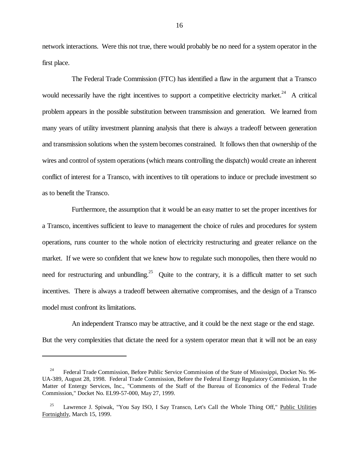network interactions. Were this not true, there would probably be no need for a system operator in the first place.

The Federal Trade Commission (FTC) has identified a flaw in the argument that a Transco would necessarily have the right incentives to support a competitive electricity market.<sup>24</sup> A critical problem appears in the possible substitution between transmission and generation. We learned from many years of utility investment planning analysis that there is always a tradeoff between generation and transmission solutions when the system becomes constrained. It follows then that ownership of the wires and control of system operations (which means controlling the dispatch) would create an inherent conflict of interest for a Transco, with incentives to tilt operations to induce or preclude investment so as to benefit the Transco.

Furthermore, the assumption that it would be an easy matter to set the proper incentives for a Transco, incentives sufficient to leave to management the choice of rules and procedures for system operations, runs counter to the whole notion of electricity restructuring and greater reliance on the market. If we were so confident that we knew how to regulate such monopolies, then there would no need for restructuring and unbundling.<sup>25</sup> Quite to the contrary, it is a difficult matter to set such incentives. There is always a tradeoff between alternative compromises, and the design of a Transco model must confront its limitations.

An independent Transco may be attractive, and it could be the next stage or the end stage. But the very complexities that dictate the need for a system operator mean that it will not be an easy

 $\overline{a}$ 

<sup>&</sup>lt;sup>24</sup> Federal Trade Commission, Before Public Service Commission of the State of Mississippi, Docket No. 96-UA-389, August 28, 1998. Federal Trade Commission, Before the Federal Energy Regulatory Commission, In the Matter of Entergy Services, Inc., "Comments of the Staff of the Bureau of Economics of the Federal Trade Commission," Docket No. EL99-57-000, May 27, 1999.

<sup>25</sup> Lawrence J. Spiwak, "You Say ISO, I Say Transco, Let's Call the Whole Thing Off," Public Utilities Fortnightly, March 15, 1999.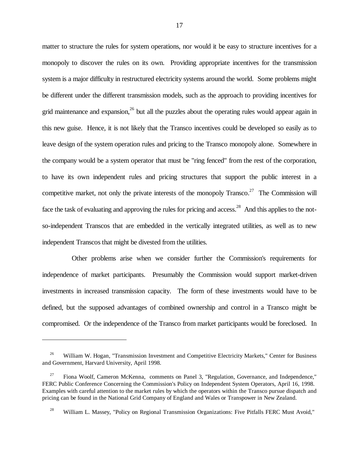matter to structure the rules for system operations, nor would it be easy to structure incentives for a monopoly to discover the rules on its own. Providing appropriate incentives for the transmission system is a major difficulty in restructured electricity systems around the world. Some problems might be different under the different transmission models, such as the approach to providing incentives for grid maintenance and expansion,  $26$  but all the puzzles about the operating rules would appear again in this new guise. Hence, it is not likely that the Transco incentives could be developed so easily as to leave design of the system operation rules and pricing to the Transco monopoly alone. Somewhere in the company would be a system operator that must be "ring fenced" from the rest of the corporation, to have its own independent rules and pricing structures that support the public interest in a competitive market, not only the private interests of the monopoly Transco.<sup>27</sup> The Commission will face the task of evaluating and approving the rules for pricing and access.<sup>28</sup> And this applies to the notso-independent Transcos that are embedded in the vertically integrated utilities, as well as to new independent Transcos that might be divested from the utilities.

Other problems arise when we consider further the Commission's requirements for independence of market participants. Presumably the Commission would support market-driven investments in increased transmission capacity. The form of these investments would have to be defined, but the supposed advantages of combined ownership and control in a Transco might be compromised. Or the independence of the Transco from market participants would be foreclosed. In

<sup>&</sup>lt;sup>26</sup> William W. Hogan, "Transmission Investment and Competitive Electricity Markets," Center for Business and Government, Harvard University, April 1998.

 $27$  Fiona Woolf, Cameron McKenna, comments on Panel 3, "Regulation, Governance, and Independence," FERC Public Conference Concerning the Commission's Policy on Independent System Operators, April 16, 1998. Examples with careful attention to the market rules by which the operators within the Transco pursue dispatch and pricing can be found in the National Grid Company of England and Wales or Transpower in New Zealand.

<sup>&</sup>lt;sup>28</sup> William L. Massey, "Policy on Regional Transmission Organizations: Five Pitfalls FERC Must Avoid,"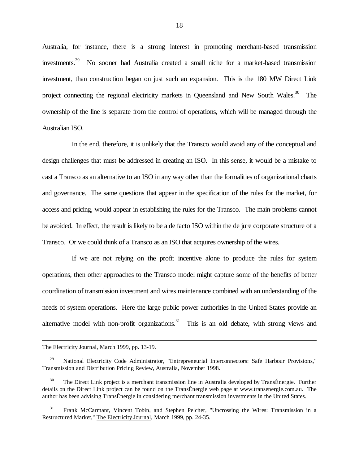Australia, for instance, there is a strong interest in promoting merchant-based transmission investments.<sup>29</sup> No sooner had Australia created a small niche for a market-based transmission investment, than construction began on just such an expansion. This is the 180 MW Direct Link project connecting the regional electricity markets in Queensland and New South Wales.<sup>30</sup> The ownership of the line is separate from the control of operations, which will be managed through the Australian ISO.

In the end, therefore, it is unlikely that the Transco would avoid any of the conceptual and design challenges that must be addressed in creating an ISO. In this sense, it would be a mistake to cast a Transco as an alternative to an ISO in any way other than the formalities of organizational charts and governance. The same questions that appear in the specification of the rules for the market, for access and pricing, would appear in establishing the rules for the Transco. The main problems cannot be avoided. In effect, the result is likely to be a de facto ISO within the de jure corporate structure of a Transco. Or we could think of a Transco as an ISO that acquires ownership of the wires.

If we are not relying on the profit incentive alone to produce the rules for system operations, then other approaches to the Transco model might capture some of the benefits of better coordination of transmission investment and wires maintenance combined with an understanding of the needs of system operations. Here the large public power authorities in the United States provide an alternative model with non-profit organizations.<sup>31</sup> This is an old debate, with strong views and

The Electricity Journal, March 1999, pp. 13-19.

 $\overline{a}$ 

 <sup>29</sup> National Electricity Code Administrator, "Entrepreneurial Interconnectors: Safe Harbour Provisions," Transmission and Distribution Pricing Review, Australia, November 1998.

 <sup>30</sup> The Direct Link project is a merchant transmission line in Australia developed by TransÉnergie. Further details on the Direct Link project can be found on the TransÉnergie web page at www.transenergie.com.au. The author has been advising TransÉnergie in considering merchant transmission investments in the United States.

 <sup>31</sup> Frank McCarmant, Vincent Tobin, and Stephen Pelcher, "Uncrossing the Wires: Transmission in a Restructured Market," The Electricity Journal, March 1999, pp. 24-35.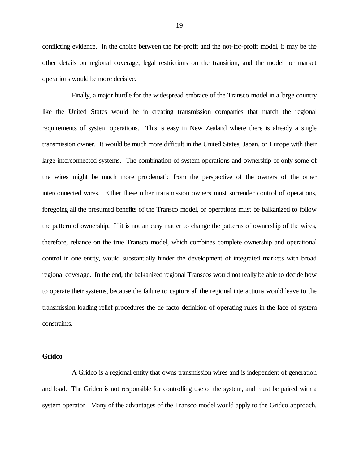conflicting evidence. In the choice between the for-profit and the not-for-profit model, it may be the other details on regional coverage, legal restrictions on the transition, and the model for market operations would be more decisive.

Finally, a major hurdle for the widespread embrace of the Transco model in a large country like the United States would be in creating transmission companies that match the regional requirements of system operations. This is easy in New Zealand where there is already a single transmission owner. It would be much more difficult in the United States, Japan, or Europe with their large interconnected systems. The combination of system operations and ownership of only some of the wires might be much more problematic from the perspective of the owners of the other interconnected wires. Either these other transmission owners must surrender control of operations, foregoing all the presumed benefits of the Transco model, or operations must be balkanized to follow the pattern of ownership. If it is not an easy matter to change the patterns of ownership of the wires, therefore, reliance on the true Transco model, which combines complete ownership and operational control in one entity, would substantially hinder the development of integrated markets with broad regional coverage. In the end, the balkanized regional Transcos would not really be able to decide how to operate their systems, because the failure to capture all the regional interactions would leave to the transmission loading relief procedures the de facto definition of operating rules in the face of system constraints.

#### **Gridco**

A Gridco is a regional entity that owns transmission wires and is independent of generation and load. The Gridco is not responsible for controlling use of the system, and must be paired with a system operator. Many of the advantages of the Transco model would apply to the Gridco approach,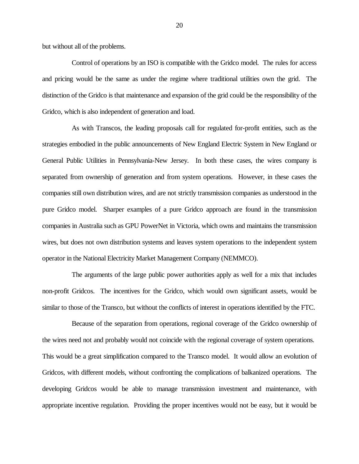but without all of the problems.

Control of operations by an ISO is compatible with the Gridco model. The rules for access and pricing would be the same as under the regime where traditional utilities own the grid. The distinction of the Gridco is that maintenance and expansion of the grid could be the responsibility of the Gridco, which is also independent of generation and load.

As with Transcos, the leading proposals call for regulated for-profit entities, such as the strategies embodied in the public announcements of New England Electric System in New England or General Public Utilities in Pennsylvania-New Jersey. In both these cases, the wires company is separated from ownership of generation and from system operations. However, in these cases the companies still own distribution wires, and are not strictly transmission companies as understood in the pure Gridco model. Sharper examples of a pure Gridco approach are found in the transmission companies in Australia such as GPU PowerNet in Victoria, which owns and maintains the transmission wires, but does not own distribution systems and leaves system operations to the independent system operator in the National Electricity Market Management Company (NEMMCO).

The arguments of the large public power authorities apply as well for a mix that includes non-profit Gridcos. The incentives for the Gridco, which would own significant assets, would be similar to those of the Transco, but without the conflicts of interest in operations identified by the FTC.

Because of the separation from operations, regional coverage of the Gridco ownership of the wires need not and probably would not coincide with the regional coverage of system operations. This would be a great simplification compared to the Transco model. It would allow an evolution of Gridcos, with different models, without confronting the complications of balkanized operations. The developing Gridcos would be able to manage transmission investment and maintenance, with appropriate incentive regulation. Providing the proper incentives would not be easy, but it would be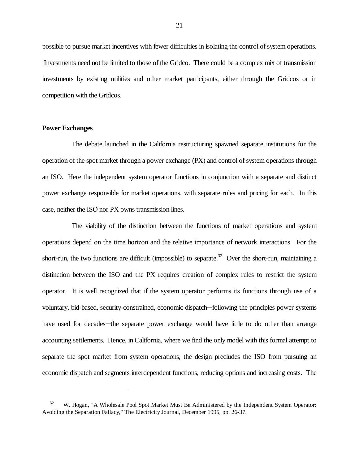possible to pursue market incentives with fewer difficulties in isolating the control of system operations. Investments need not be limited to those of the Gridco. There could be a complex mix of transmission investments by existing utilities and other market participants, either through the Gridcos or in competition with the Gridcos.

#### **Power Exchanges**

÷,

The debate launched in the California restructuring spawned separate institutions for the operation of the spot market through a power exchange (PX) and control of system operations through an ISO. Here the independent system operator functions in conjunction with a separate and distinct power exchange responsible for market operations, with separate rules and pricing for each. In this case, neither the ISO nor PX owns transmission lines.

The viability of the distinction between the functions of market operations and system operations depend on the time horizon and the relative importance of network interactions. For the short-run, the two functions are difficult (impossible) to separate.<sup>32</sup> Over the short-run, maintaining a distinction between the ISO and the PX requires creation of complex rules to restrict the system operator. It is well recognized that if the system operator performs its functions through use of a voluntary, bid-based, security-constrained, economic dispatch&following the principles power systems have used for decades—the separate power exchange would have little to do other than arrange accounting settlements. Hence, in California, where we find the only model with this formal attempt to separate the spot market from system operations, the design precludes the ISO from pursuing an economic dispatch and segments interdependent functions, reducing options and increasing costs. The

<sup>&</sup>lt;sup>32</sup> W. Hogan, "A Wholesale Pool Spot Market Must Be Administered by the Independent System Operator: Avoiding the Separation Fallacy," The Electricity Journal, December 1995, pp. 26-37.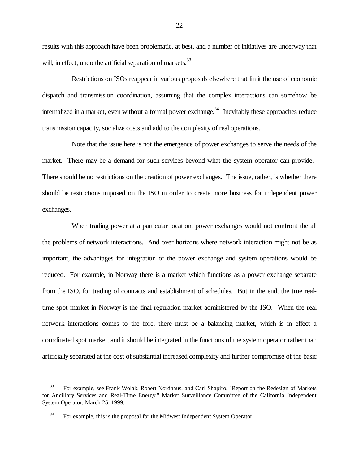results with this approach have been problematic, at best, and a number of initiatives are underway that will, in effect, undo the artificial separation of markets.<sup>33</sup>

Restrictions on ISOs reappear in various proposals elsewhere that limit the use of economic dispatch and transmission coordination, assuming that the complex interactions can somehow be internalized in a market, even without a formal power exchange.<sup>34</sup> Inevitably these approaches reduce transmission capacity, socialize costs and add to the complexity of real operations.

Note that the issue here is not the emergence of power exchanges to serve the needs of the market. There may be a demand for such services beyond what the system operator can provide. There should be no restrictions on the creation of power exchanges. The issue, rather, is whether there should be restrictions imposed on the ISO in order to create more business for independent power exchanges.

When trading power at a particular location, power exchanges would not confront the all the problems of network interactions. And over horizons where network interaction might not be as important, the advantages for integration of the power exchange and system operations would be reduced. For example, in Norway there is a market which functions as a power exchange separate from the ISO, for trading of contracts and establishment of schedules. But in the end, the true realtime spot market in Norway is the final regulation market administered by the ISO. When the real network interactions comes to the fore, there must be a balancing market, which is in effect a coordinated spot market, and it should be integrated in the functions of the system operator rather than artificially separated at the cost of substantial increased complexity and further compromise of the basic

<sup>&</sup>lt;sup>33</sup> For example, see Frank Wolak, Robert Nordhaus, and Carl Shapiro, "Report on the Redesign of Markets for Ancillary Services and Real-Time Energy," Market Surveillance Committee of the California Independent System Operator, March 25, 1999.

<sup>&</sup>lt;sup>34</sup> For example, this is the proposal for the Midwest Independent System Operator.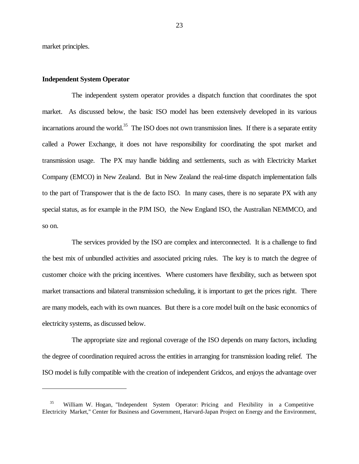market principles.

÷,

## **Independent System Operator**

The independent system operator provides a dispatch function that coordinates the spot market. As discussed below, the basic ISO model has been extensively developed in its various incarnations around the world.<sup>35</sup> The ISO does not own transmission lines. If there is a separate entity called a Power Exchange, it does not have responsibility for coordinating the spot market and transmission usage. The PX may handle bidding and settlements, such as with Electricity Market Company (EMCO) in New Zealand. But in New Zealand the real-time dispatch implementation falls to the part of Transpower that is the de facto ISO. In many cases, there is no separate PX with any special status, as for example in the PJM ISO, the New England ISO, the Australian NEMMCO, and so on.

The services provided by the ISO are complex and interconnected. It is a challenge to find the best mix of unbundled activities and associated pricing rules. The key is to match the degree of customer choice with the pricing incentives. Where customers have flexibility, such as between spot market transactions and bilateral transmission scheduling, it is important to get the prices right. There are many models, each with its own nuances. But there is a core model built on the basic economics of electricity systems, as discussed below.

The appropriate size and regional coverage of the ISO depends on many factors, including the degree of coordination required across the entities in arranging for transmission loading relief. The ISO model is fully compatible with the creation of independent Gridcos, and enjoys the advantage over

<sup>&</sup>lt;sup>35</sup> William W. Hogan, "Independent System Operator: Pricing and Flexibility in a Competitive Electricity Market," Center for Business and Government, Harvard-Japan Project on Energy and the Environment,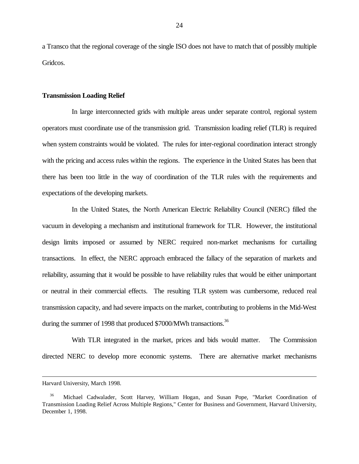a Transco that the regional coverage of the single ISO does not have to match that of possibly multiple Gridcos.

#### **Transmission Loading Relief**

In large interconnected grids with multiple areas under separate control, regional system operators must coordinate use of the transmission grid. Transmission loading relief (TLR) is required when system constraints would be violated. The rules for inter-regional coordination interact strongly with the pricing and access rules within the regions. The experience in the United States has been that there has been too little in the way of coordination of the TLR rules with the requirements and expectations of the developing markets.

In the United States, the North American Electric Reliability Council (NERC) filled the vacuum in developing a mechanism and institutional framework for TLR. However, the institutional design limits imposed or assumed by NERC required non-market mechanisms for curtailing transactions. In effect, the NERC approach embraced the fallacy of the separation of markets and reliability, assuming that it would be possible to have reliability rules that would be either unimportant or neutral in their commercial effects. The resulting TLR system was cumbersome, reduced real transmission capacity, and had severe impacts on the market, contributing to problems in the Mid-West during the summer of 1998 that produced \$7000/MWh transactions.<sup>36</sup>

With TLR integrated in the market, prices and bids would matter. The Commission directed NERC to develop more economic systems. There are alternative market mechanisms

Harvard University, March 1998.

<sup>36</sup> Michael Cadwalader, Scott Harvey, William Hogan, and Susan Pope, "Market Coordination of Transmission Loading Relief Across Multiple Regions," Center for Business and Government, Harvard University, December 1, 1998.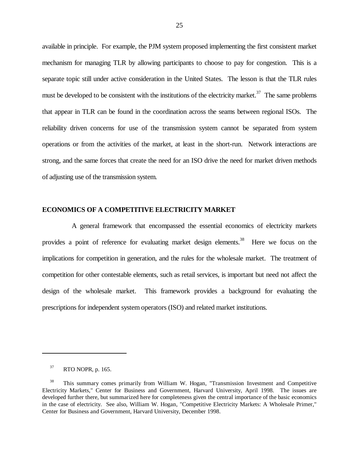available in principle. For example, the PJM system proposed implementing the first consistent market mechanism for managing TLR by allowing participants to choose to pay for congestion. This is a separate topic still under active consideration in the United States. The lesson is that the TLR rules must be developed to be consistent with the institutions of the electricity market.<sup>37</sup> The same problems that appear in TLR can be found in the coordination across the seams between regional ISOs. The reliability driven concerns for use of the transmission system cannot be separated from system operations or from the activities of the market, at least in the short-run. Network interactions are strong, and the same forces that create the need for an ISO drive the need for market driven methods of adjusting use of the transmission system.

## **ECONOMICS OF A COMPETITIVE ELECTRICITY MARKET**

A general framework that encompassed the essential economics of electricity markets provides a point of reference for evaluating market design elements.<sup>38</sup> Here we focus on the implications for competition in generation, and the rules for the wholesale market. The treatment of competition for other contestable elements, such as retail services, is important but need not affect the design of the wholesale market. This framework provides a background for evaluating the prescriptions for independent system operators (ISO) and related market institutions.

<sup>37</sup> RTO NOPR, p. 165.

<sup>&</sup>lt;sup>38</sup> This summary comes primarily from William W. Hogan, "Transmission Investment and Competitive Electricity Markets," Center for Business and Government, Harvard University, April 1998. The issues are developed further there, but summarized here for completeness given the central importance of the basic economics in the case of electricity. See also, William W. Hogan, "Competitive Electricity Markets: A Wholesale Primer," Center for Business and Government, Harvard University, December 1998.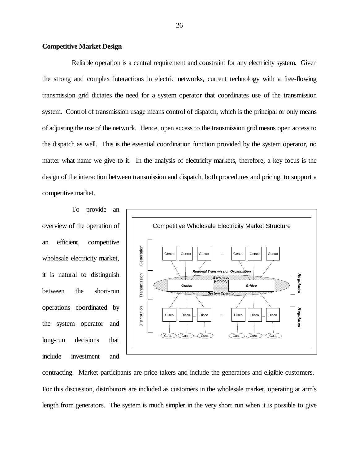### **Competitive Market Design**

Reliable operation is a central requirement and constraint for any electricity system. Given the strong and complex interactions in electric networks, current technology with a free-flowing transmission grid dictates the need for a system operator that coordinates use of the transmission system. Control of transmission usage means control of dispatch, which is the principal or only means of adjusting the use of the network. Hence, open access to the transmission grid means open access to the dispatch as well. This is the essential coordination function provided by the system operator, no matter what name we give to it. In the analysis of electricity markets, therefore, a key focus is the design of the interaction between transmission and dispatch, both procedures and pricing, to support a competitive market.

To provide an overview of the operation of an efficient, competitive wholesale electricity market, it is natural to distinguish between the short-run operations coordinated by the system operator and long-run decisions that include investment and



contracting. Market participants are price takers and include the generators and eligible customers. For this discussion, distributors are included as customers in the wholesale market, operating at arm's length from generators. The system is much simpler in the very short run when it is possible to give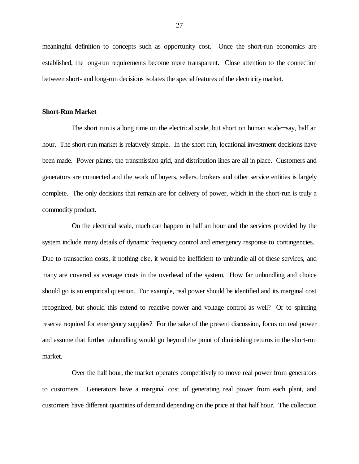meaningful definition to concepts such as opportunity cost. Once the short-run economics are established, the long-run requirements become more transparent. Close attention to the connection between short- and long-run decisions isolates the special features of the electricity market.

#### **Short-Run Market**

The short run is a long time on the electrical scale, but short on human scale—say, half an hour. The short-run market is relatively simple. In the short run, locational investment decisions have been made. Power plants, the transmission grid, and distribution lines are all in place. Customers and generators are connected and the work of buyers, sellers, brokers and other service entities is largely complete. The only decisions that remain are for delivery of power, which in the short-run is truly a commodity product.

On the electrical scale, much can happen in half an hour and the services provided by the system include many details of dynamic frequency control and emergency response to contingencies. Due to transaction costs, if nothing else, it would be inefficient to unbundle all of these services, and many are covered as average costs in the overhead of the system. How far unbundling and choice should go is an empirical question. For example, real power should be identified and its marginal cost recognized, but should this extend to reactive power and voltage control as well? Or to spinning reserve required for emergency supplies? For the sake of the present discussion, focus on real power and assume that further unbundling would go beyond the point of diminishing returns in the short-run market.

Over the half hour, the market operates competitively to move real power from generators to customers. Generators have a marginal cost of generating real power from each plant, and customers have different quantities of demand depending on the price at that half hour. The collection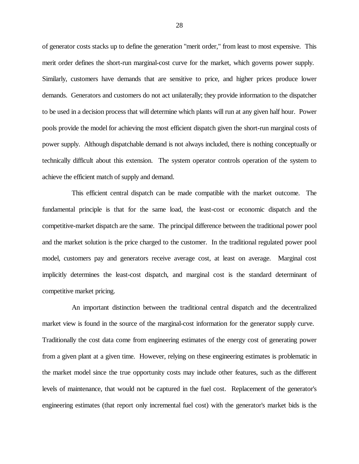of generator costs stacks up to define the generation "merit order," from least to most expensive. This merit order defines the short-run marginal-cost curve for the market, which governs power supply. Similarly, customers have demands that are sensitive to price, and higher prices produce lower demands. Generators and customers do not act unilaterally; they provide information to the dispatcher to be used in a decision process that will determine which plants will run at any given half hour. Power pools provide the model for achieving the most efficient dispatch given the short-run marginal costs of power supply. Although dispatchable demand is not always included, there is nothing conceptually or technically difficult about this extension. The system operator controls operation of the system to achieve the efficient match of supply and demand.

This efficient central dispatch can be made compatible with the market outcome. The fundamental principle is that for the same load, the least-cost or economic dispatch and the competitive-market dispatch are the same. The principal difference between the traditional power pool and the market solution is the price charged to the customer. In the traditional regulated power pool model, customers pay and generators receive average cost, at least on average. Marginal cost implicitly determines the least-cost dispatch, and marginal cost is the standard determinant of competitive market pricing.

An important distinction between the traditional central dispatch and the decentralized market view is found in the source of the marginal-cost information for the generator supply curve. Traditionally the cost data come from engineering estimates of the energy cost of generating power from a given plant at a given time. However, relying on these engineering estimates is problematic in the market model since the true opportunity costs may include other features, such as the different levels of maintenance, that would not be captured in the fuel cost. Replacement of the generator's engineering estimates (that report only incremental fuel cost) with the generator's market bids is the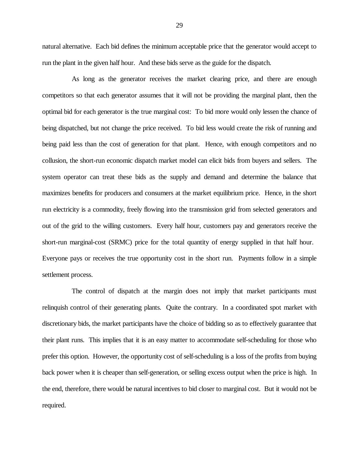natural alternative. Each bid defines the minimum acceptable price that the generator would accept to run the plant in the given half hour. And these bids serve as the guide for the dispatch.

As long as the generator receives the market clearing price, and there are enough competitors so that each generator assumes that it will not be providing the marginal plant, then the optimal bid for each generator is the true marginal cost: To bid more would only lessen the chance of being dispatched, but not change the price received. To bid less would create the risk of running and being paid less than the cost of generation for that plant. Hence, with enough competitors and no collusion, the short-run economic dispatch market model can elicit bids from buyers and sellers. The system operator can treat these bids as the supply and demand and determine the balance that maximizes benefits for producers and consumers at the market equilibrium price. Hence, in the short run electricity is a commodity, freely flowing into the transmission grid from selected generators and out of the grid to the willing customers. Every half hour, customers pay and generators receive the short-run marginal-cost (SRMC) price for the total quantity of energy supplied in that half hour. Everyone pays or receives the true opportunity cost in the short run. Payments follow in a simple settlement process.

The control of dispatch at the margin does not imply that market participants must relinquish control of their generating plants. Quite the contrary. In a coordinated spot market with discretionary bids, the market participants have the choice of bidding so as to effectively guarantee that their plant runs. This implies that it is an easy matter to accommodate self-scheduling for those who prefer this option. However, the opportunity cost of self-scheduling is a loss of the profits from buying back power when it is cheaper than self-generation, or selling excess output when the price is high. In the end, therefore, there would be natural incentives to bid closer to marginal cost. But it would not be required.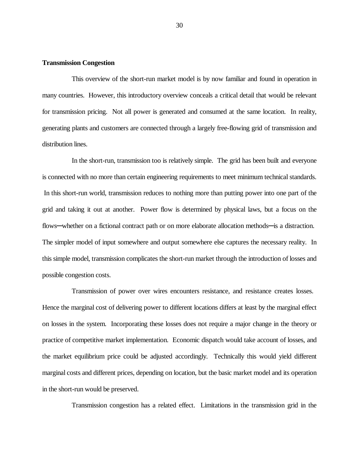### **Transmission Congestion**

This overview of the short-run market model is by now familiar and found in operation in many countries. However, this introductory overview conceals a critical detail that would be relevant for transmission pricing. Not all power is generated and consumed at the same location. In reality, generating plants and customers are connected through a largely free-flowing grid of transmission and distribution lines.

In the short-run, transmission too is relatively simple. The grid has been built and everyone is connected with no more than certain engineering requirements to meet minimum technical standards. In this short-run world, transmission reduces to nothing more than putting power into one part of the grid and taking it out at another. Power flow is determined by physical laws, but a focus on the flows—whether on a fictional contract path or on more elaborate allocation methods—is a distraction. The simpler model of input somewhere and output somewhere else captures the necessary reality. In this simple model, transmission complicates the short-run market through the introduction of losses and possible congestion costs.

Transmission of power over wires encounters resistance, and resistance creates losses. Hence the marginal cost of delivering power to different locations differs at least by the marginal effect on losses in the system. Incorporating these losses does not require a major change in the theory or practice of competitive market implementation. Economic dispatch would take account of losses, and the market equilibrium price could be adjusted accordingly. Technically this would yield different marginal costs and different prices, depending on location, but the basic market model and its operation in the short-run would be preserved.

Transmission congestion has a related effect. Limitations in the transmission grid in the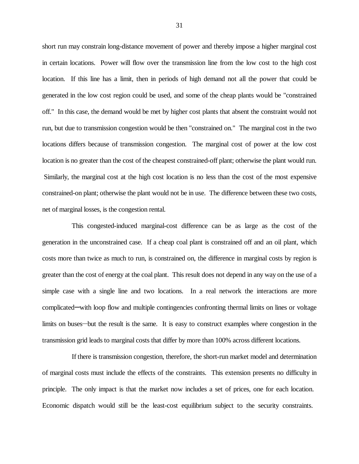short run may constrain long-distance movement of power and thereby impose a higher marginal cost in certain locations. Power will flow over the transmission line from the low cost to the high cost location. If this line has a limit, then in periods of high demand not all the power that could be generated in the low cost region could be used, and some of the cheap plants would be "constrained off." In this case, the demand would be met by higher cost plants that absent the constraint would not run, but due to transmission congestion would be then "constrained on." The marginal cost in the two locations differs because of transmission congestion. The marginal cost of power at the low cost location is no greater than the cost of the cheapest constrained-off plant; otherwise the plant would run. Similarly, the marginal cost at the high cost location is no less than the cost of the most expensive constrained-on plant; otherwise the plant would not be in use. The difference between these two costs, net of marginal losses, is the congestion rental.

This congested-induced marginal-cost difference can be as large as the cost of the generation in the unconstrained case. If a cheap coal plant is constrained off and an oil plant, which costs more than twice as much to run, is constrained on, the difference in marginal costs by region is greater than the cost of energy at the coal plant. This result does not depend in any way on the use of a simple case with a single line and two locations. In a real network the interactions are more complicated—with loop flow and multiple contingencies confronting thermal limits on lines or voltage limits on buses—but the result is the same. It is easy to construct examples where congestion in the transmission grid leads to marginal costs that differ by more than 100% across different locations.

If there is transmission congestion, therefore, the short-run market model and determination of marginal costs must include the effects of the constraints. This extension presents no difficulty in principle. The only impact is that the market now includes a set of prices, one for each location. Economic dispatch would still be the least-cost equilibrium subject to the security constraints.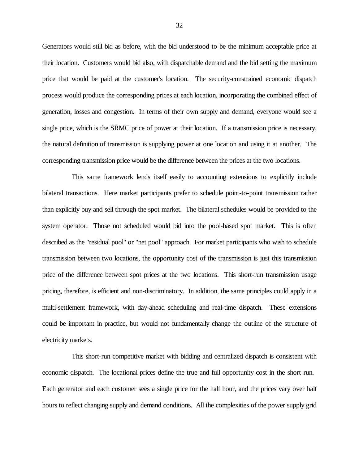Generators would still bid as before, with the bid understood to be the minimum acceptable price at their location. Customers would bid also, with dispatchable demand and the bid setting the maximum price that would be paid at the customer's location. The security-constrained economic dispatch process would produce the corresponding prices at each location, incorporating the combined effect of generation, losses and congestion. In terms of their own supply and demand, everyone would see a single price, which is the SRMC price of power at their location. If a transmission price is necessary, the natural definition of transmission is supplying power at one location and using it at another. The corresponding transmission price would be the difference between the prices at the two locations.

This same framework lends itself easily to accounting extensions to explicitly include bilateral transactions. Here market participants prefer to schedule point-to-point transmission rather than explicitly buy and sell through the spot market. The bilateral schedules would be provided to the system operator. Those not scheduled would bid into the pool-based spot market. This is often described as the "residual pool" or "net pool" approach. For market participants who wish to schedule transmission between two locations, the opportunity cost of the transmission is just this transmission price of the difference between spot prices at the two locations. This short-run transmission usage pricing, therefore, is efficient and non-discriminatory. In addition, the same principles could apply in a multi-settlement framework, with day-ahead scheduling and real-time dispatch. These extensions could be important in practice, but would not fundamentally change the outline of the structure of electricity markets.

This short-run competitive market with bidding and centralized dispatch is consistent with economic dispatch. The locational prices define the true and full opportunity cost in the short run. Each generator and each customer sees a single price for the half hour, and the prices vary over half hours to reflect changing supply and demand conditions. All the complexities of the power supply grid

32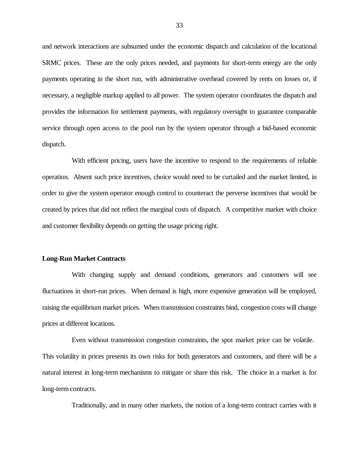and network interactions are subsumed under the economic dispatch and calculation of the locational SRMC prices. These are the only prices needed, and payments for short-term energy are the only payments operating in the short run, with administrative overhead covered by rents on losses or, if necessary, a negligible markup applied to all power. The system operator coordinates the dispatch and provides the information for settlement payments, with regulatory oversight to guarantee comparable service through open access to the pool run by the system operator through a bid-based economic dispatch.

With efficient pricing, users have the incentive to respond to the requirements of reliable operation. Absent such price incentives, choice would need to be curtailed and the market limited, in order to give the system operator enough control to counteract the perverse incentives that would be created by prices that did not reflect the marginal costs of dispatch. A competitive market with choice and customer flexibility depends on getting the usage pricing right.

#### **Long-Run Market Contracts**

With changing supply and demand conditions, generators and customers will see fluctuations in short-run prices. When demand is high, more expensive generation will be employed, raising the equilibrium market prices. When transmission constraints bind, congestion costs will change prices at different locations.

Even without transmission congestion constraints, the spot market price can be volatile. This volatility in prices presents its own risks for both generators and customers, and there will be a natural interest in long-term mechanisms to mitigate or share this risk. The choice in a market is for long-term contracts.

Traditionally, and in many other markets, the notion of a long-term contract carries with it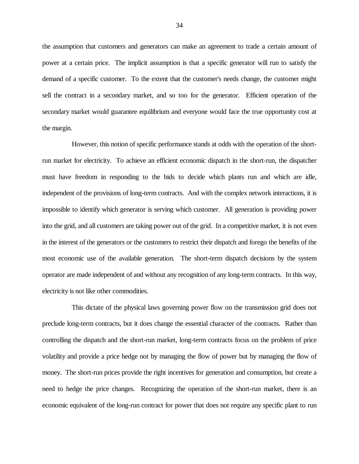the assumption that customers and generators can make an agreement to trade a certain amount of power at a certain price. The implicit assumption is that a specific generator will run to satisfy the demand of a specific customer. To the extent that the customer's needs change, the customer might sell the contract in a secondary market, and so too for the generator. Efficient operation of the secondary market would guarantee equilibrium and everyone would face the true opportunity cost at the margin.

However, this notion of specific performance stands at odds with the operation of the shortrun market for electricity. To achieve an efficient economic dispatch in the short-run, the dispatcher must have freedom in responding to the bids to decide which plants run and which are idle, independent of the provisions of long-term contracts. And with the complex network interactions, it is impossible to identify which generator is serving which customer. All generation is providing power into the grid, and all customers are taking power out of the grid. In a competitive market, it is not even in the interest of the generators or the customers to restrict their dispatch and forego the benefits of the most economic use of the available generation. The short-term dispatch decisions by the system operator are made independent of and without any recognition of any long-term contracts. In this way, electricity is not like other commodities.

This dictate of the physical laws governing power flow on the transmission grid does not preclude long-term contracts, but it does change the essential character of the contracts. Rather than controlling the dispatch and the short-run market, long-term contracts focus on the problem of price volatility and provide a price hedge not by managing the flow of power but by managing the flow of money. The short-run prices provide the right incentives for generation and consumption, but create a need to hedge the price changes. Recognizing the operation of the short-run market, there is an economic equivalent of the long-run contract for power that does not require any specific plant to run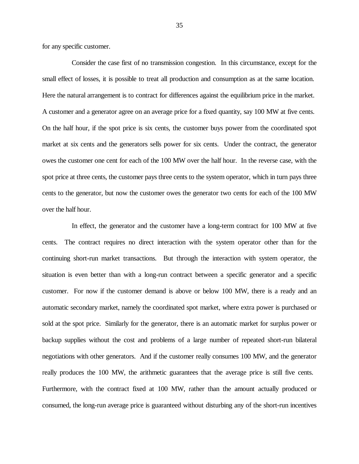for any specific customer.

Consider the case first of no transmission congestion. In this circumstance, except for the small effect of losses, it is possible to treat all production and consumption as at the same location. Here the natural arrangement is to contract for differences against the equilibrium price in the market. A customer and a generator agree on an average price for a fixed quantity, say 100 MW at five cents. On the half hour, if the spot price is six cents, the customer buys power from the coordinated spot market at six cents and the generators sells power for six cents. Under the contract, the generator owes the customer one cent for each of the 100 MW over the half hour. In the reverse case, with the spot price at three cents, the customer pays three cents to the system operator, which in turn pays three cents to the generator, but now the customer owes the generator two cents for each of the 100 MW over the half hour.

In effect, the generator and the customer have a long-term contract for 100 MW at five cents. The contract requires no direct interaction with the system operator other than for the continuing short-run market transactions. But through the interaction with system operator, the situation is even better than with a long-run contract between a specific generator and a specific customer. For now if the customer demand is above or below 100 MW, there is a ready and an automatic secondary market, namely the coordinated spot market, where extra power is purchased or sold at the spot price. Similarly for the generator, there is an automatic market for surplus power or backup supplies without the cost and problems of a large number of repeated short-run bilateral negotiations with other generators. And if the customer really consumes 100 MW, and the generator really produces the 100 MW, the arithmetic guarantees that the average price is still five cents. Furthermore, with the contract fixed at 100 MW, rather than the amount actually produced or consumed, the long-run average price is guaranteed without disturbing any of the short-run incentives

35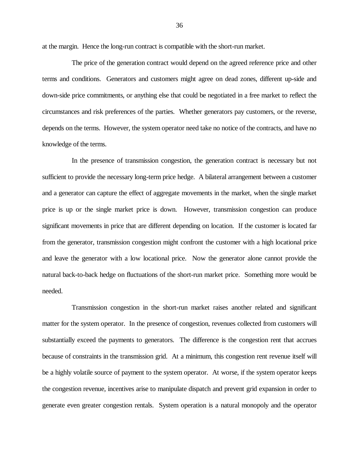at the margin. Hence the long-run contract is compatible with the short-run market.

The price of the generation contract would depend on the agreed reference price and other terms and conditions. Generators and customers might agree on dead zones, different up-side and down-side price commitments, or anything else that could be negotiated in a free market to reflect the circumstances and risk preferences of the parties. Whether generators pay customers, or the reverse, depends on the terms. However, the system operator need take no notice of the contracts, and have no knowledge of the terms.

In the presence of transmission congestion, the generation contract is necessary but not sufficient to provide the necessary long-term price hedge. A bilateral arrangement between a customer and a generator can capture the effect of aggregate movements in the market, when the single market price is up or the single market price is down. However, transmission congestion can produce significant movements in price that are different depending on location. If the customer is located far from the generator, transmission congestion might confront the customer with a high locational price and leave the generator with a low locational price. Now the generator alone cannot provide the natural back-to-back hedge on fluctuations of the short-run market price. Something more would be needed.

Transmission congestion in the short-run market raises another related and significant matter for the system operator. In the presence of congestion, revenues collected from customers will substantially exceed the payments to generators. The difference is the congestion rent that accrues because of constraints in the transmission grid. At a minimum, this congestion rent revenue itself will be a highly volatile source of payment to the system operator. At worse, if the system operator keeps the congestion revenue, incentives arise to manipulate dispatch and prevent grid expansion in order to generate even greater congestion rentals. System operation is a natural monopoly and the operator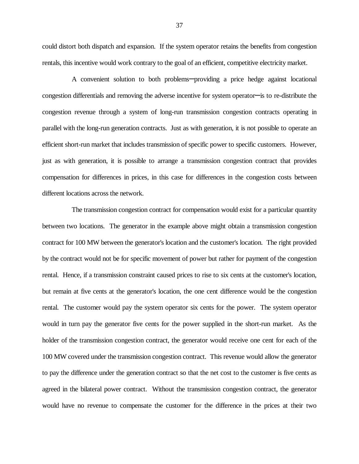could distort both dispatch and expansion. If the system operator retains the benefits from congestion rentals, this incentive would work contrary to the goal of an efficient, competitive electricity market.

A convenient solution to both problems—providing a price hedge against locational congestion differentials and removing the adverse incentive for system operator—is to re-distribute the congestion revenue through a system of long-run transmission congestion contracts operating in parallel with the long-run generation contracts. Just as with generation, it is not possible to operate an efficient short-run market that includes transmission of specific power to specific customers. However, just as with generation, it is possible to arrange a transmission congestion contract that provides compensation for differences in prices, in this case for differences in the congestion costs between different locations across the network.

The transmission congestion contract for compensation would exist for a particular quantity between two locations. The generator in the example above might obtain a transmission congestion contract for 100 MW between the generator's location and the customer's location. The right provided by the contract would not be for specific movement of power but rather for payment of the congestion rental. Hence, if a transmission constraint caused prices to rise to six cents at the customer's location, but remain at five cents at the generator's location, the one cent difference would be the congestion rental. The customer would pay the system operator six cents for the power. The system operator would in turn pay the generator five cents for the power supplied in the short-run market. As the holder of the transmission congestion contract, the generator would receive one cent for each of the 100 MW covered under the transmission congestion contract. This revenue would allow the generator to pay the difference under the generation contract so that the net cost to the customer is five cents as agreed in the bilateral power contract. Without the transmission congestion contract, the generator would have no revenue to compensate the customer for the difference in the prices at their two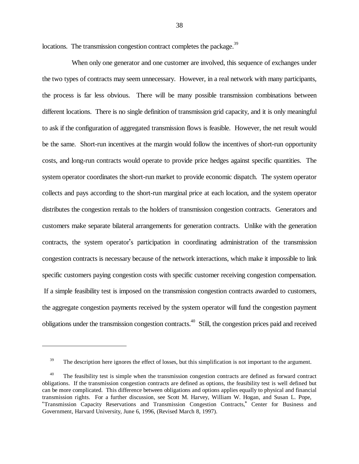locations. The transmission congestion contract completes the package.<sup>39</sup>

When only one generator and one customer are involved, this sequence of exchanges under the two types of contracts may seem unnecessary. However, in a real network with many participants, the process is far less obvious. There will be many possible transmission combinations between different locations. There is no single definition of transmission grid capacity, and it is only meaningful to ask if the configuration of aggregated transmission flows is feasible. However, the net result would be the same. Short-run incentives at the margin would follow the incentives of short-run opportunity costs, and long-run contracts would operate to provide price hedges against specific quantities. The system operator coordinates the short-run market to provide economic dispatch. The system operator collects and pays according to the short-run marginal price at each location, and the system operator distributes the congestion rentals to the holders of transmission congestion contracts. Generators and customers make separate bilateral arrangements for generation contracts. Unlike with the generation contracts, the system operator's participation in coordinating administration of the transmission congestion contracts is necessary because of the network interactions, which make it impossible to link specific customers paying congestion costs with specific customer receiving congestion compensation. If a simple feasibility test is imposed on the transmission congestion contracts awarded to customers, the aggregate congestion payments received by the system operator will fund the congestion payment obligations under the transmission congestion contracts.40 Still, the congestion prices paid and received

<sup>&</sup>lt;sup>39</sup> The description here ignores the effect of losses, but this simplification is not important to the argument.

<sup>&</sup>lt;sup>40</sup> The feasibility test is simple when the transmission congestion contracts are defined as forward contract obligations. If the transmission congestion contracts are defined as options, the feasibility test is well defined but can be more complicated. This difference between obligations and options applies equally to physical and financial transmission rights. For a further discussion, see Scott M. Harvey, William W. Hogan, and Susan L. Pope, \$"Transmission Capacity Reservations and Transmission Congestion Contracts," Center for Business and Government, Harvard University, June 6, 1996, (Revised March 8, 1997).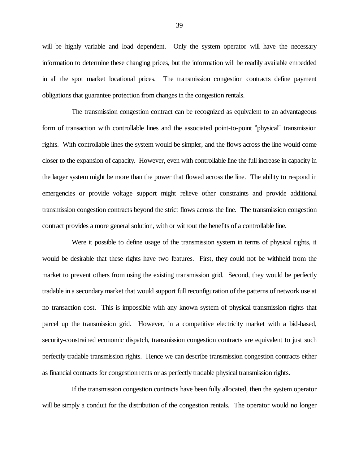will be highly variable and load dependent. Only the system operator will have the necessary information to determine these changing prices, but the information will be readily available embedded in all the spot market locational prices. The transmission congestion contracts define payment obligations that guarantee protection from changes in the congestion rentals.

The transmission congestion contract can be recognized as equivalent to an advantageous form of transaction with controllable lines and the associated point-to-point "physical" transmission rights. With controllable lines the system would be simpler, and the flows across the line would come closer to the expansion of capacity. However, even with controllable line the full increase in capacity in the larger system might be more than the power that flowed across the line. The ability to respond in emergencies or provide voltage support might relieve other constraints and provide additional transmission congestion contracts beyond the strict flows across the line. The transmission congestion contract provides a more general solution, with or without the benefits of a controllable line.

Were it possible to define usage of the transmission system in terms of physical rights, it would be desirable that these rights have two features. First, they could not be withheld from the market to prevent others from using the existing transmission grid. Second, they would be perfectly tradable in a secondary market that would support full reconfiguration of the patterns of network use at no transaction cost. This is impossible with any known system of physical transmission rights that parcel up the transmission grid. However, in a competitive electricity market with a bid-based, security-constrained economic dispatch, transmission congestion contracts are equivalent to just such perfectly tradable transmission rights. Hence we can describe transmission congestion contracts either as financial contracts for congestion rents or as perfectly tradable physical transmission rights.

If the transmission congestion contracts have been fully allocated, then the system operator will be simply a conduit for the distribution of the congestion rentals. The operator would no longer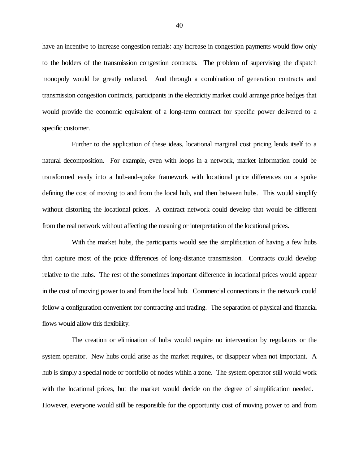have an incentive to increase congestion rentals: any increase in congestion payments would flow only to the holders of the transmission congestion contracts. The problem of supervising the dispatch monopoly would be greatly reduced. And through a combination of generation contracts and transmission congestion contracts, participants in the electricity market could arrange price hedges that would provide the economic equivalent of a long-term contract for specific power delivered to a specific customer.

Further to the application of these ideas, locational marginal cost pricing lends itself to a natural decomposition. For example, even with loops in a network, market information could be transformed easily into a hub-and-spoke framework with locational price differences on a spoke defining the cost of moving to and from the local hub, and then between hubs. This would simplify without distorting the locational prices. A contract network could develop that would be different from the real network without affecting the meaning or interpretation of the locational prices.

With the market hubs, the participants would see the simplification of having a few hubs that capture most of the price differences of long-distance transmission. Contracts could develop relative to the hubs. The rest of the sometimes important difference in locational prices would appear in the cost of moving power to and from the local hub. Commercial connections in the network could follow a configuration convenient for contracting and trading. The separation of physical and financial flows would allow this flexibility.

The creation or elimination of hubs would require no intervention by regulators or the system operator. New hubs could arise as the market requires, or disappear when not important. A hub is simply a special node or portfolio of nodes within a zone. The system operator still would work with the locational prices, but the market would decide on the degree of simplification needed. However, everyone would still be responsible for the opportunity cost of moving power to and from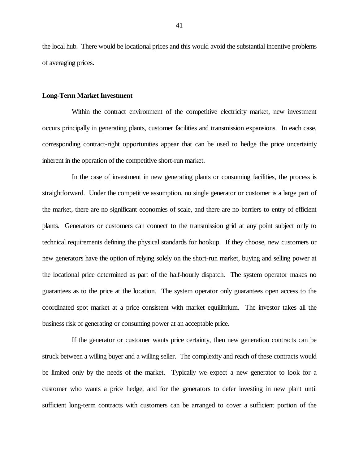the local hub. There would be locational prices and this would avoid the substantial incentive problems of averaging prices.

#### **Long-Term Market Investment**

Within the contract environment of the competitive electricity market, new investment occurs principally in generating plants, customer facilities and transmission expansions. In each case, corresponding contract-right opportunities appear that can be used to hedge the price uncertainty inherent in the operation of the competitive short-run market.

In the case of investment in new generating plants or consuming facilities, the process is straightforward. Under the competitive assumption, no single generator or customer is a large part of the market, there are no significant economies of scale, and there are no barriers to entry of efficient plants. Generators or customers can connect to the transmission grid at any point subject only to technical requirements defining the physical standards for hookup. If they choose, new customers or new generators have the option of relying solely on the short-run market, buying and selling power at the locational price determined as part of the half-hourly dispatch. The system operator makes no guarantees as to the price at the location. The system operator only guarantees open access to the coordinated spot market at a price consistent with market equilibrium. The investor takes all the business risk of generating or consuming power at an acceptable price.

If the generator or customer wants price certainty, then new generation contracts can be struck between a willing buyer and a willing seller. The complexity and reach of these contracts would be limited only by the needs of the market. Typically we expect a new generator to look for a customer who wants a price hedge, and for the generators to defer investing in new plant until sufficient long-term contracts with customers can be arranged to cover a sufficient portion of the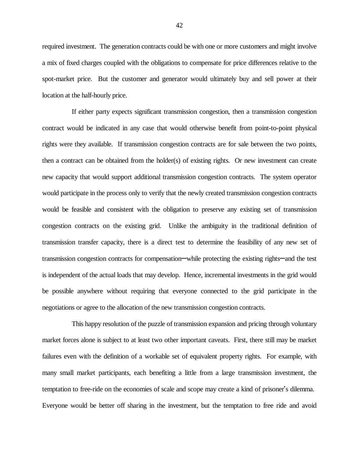required investment. The generation contracts could be with one or more customers and might involve a mix of fixed charges coupled with the obligations to compensate for price differences relative to the spot-market price. But the customer and generator would ultimately buy and sell power at their location at the half-hourly price.

If either party expects significant transmission congestion, then a transmission congestion contract would be indicated in any case that would otherwise benefit from point-to-point physical rights were they available. If transmission congestion contracts are for sale between the two points, then a contract can be obtained from the holder(s) of existing rights. Or new investment can create new capacity that would support additional transmission congestion contracts. The system operator would participate in the process only to verify that the newly created transmission congestion contracts would be feasible and consistent with the obligation to preserve any existing set of transmission congestion contracts on the existing grid. Unlike the ambiguity in the traditional definition of transmission transfer capacity, there is a direct test to determine the feasibility of any new set of transmission congestion contracts for compensation—while protecting the existing rights—and the test is independent of the actual loads that may develop. Hence, incremental investments in the grid would be possible anywhere without requiring that everyone connected to the grid participate in the negotiations or agree to the allocation of the new transmission congestion contracts.

This happy resolution of the puzzle of transmission expansion and pricing through voluntary market forces alone is subject to at least two other important caveats. First, there still may be market failures even with the definition of a workable set of equivalent property rights. For example, with many small market participants, each benefiting a little from a large transmission investment, the temptation to free-ride on the economies of scale and scope may create a kind of prisoner's dilemma. Everyone would be better off sharing in the investment, but the temptation to free ride and avoid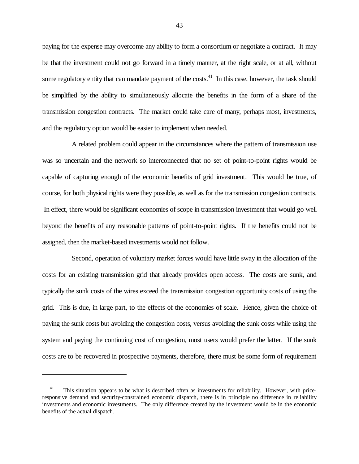paying for the expense may overcome any ability to form a consortium or negotiate a contract. It may be that the investment could not go forward in a timely manner, at the right scale, or at all, without some regulatory entity that can mandate payment of the costs.<sup>41</sup> In this case, however, the task should be simplified by the ability to simultaneously allocate the benefits in the form of a share of the transmission congestion contracts. The market could take care of many, perhaps most, investments, and the regulatory option would be easier to implement when needed.

A related problem could appear in the circumstances where the pattern of transmission use was so uncertain and the network so interconnected that no set of point-to-point rights would be capable of capturing enough of the economic benefits of grid investment. This would be true, of course, for both physical rights were they possible, as well as for the transmission congestion contracts. In effect, there would be significant economies of scope in transmission investment that would go well beyond the benefits of any reasonable patterns of point-to-point rights. If the benefits could not be assigned, then the market-based investments would not follow.

Second, operation of voluntary market forces would have little sway in the allocation of the costs for an existing transmission grid that already provides open access. The costs are sunk, and typically the sunk costs of the wires exceed the transmission congestion opportunity costs of using the grid. This is due, in large part, to the effects of the economies of scale. Hence, given the choice of paying the sunk costs but avoiding the congestion costs, versus avoiding the sunk costs while using the system and paying the continuing cost of congestion, most users would prefer the latter. If the sunk costs are to be recovered in prospective payments, therefore, there must be some form of requirement

<sup>&</sup>lt;sup>41</sup> This situation appears to be what is described often as investments for reliability. However, with priceresponsive demand and security-constrained economic dispatch, there is in principle no difference in reliability investments and economic investments. The only difference created by the investment would be in the economic benefits of the actual dispatch.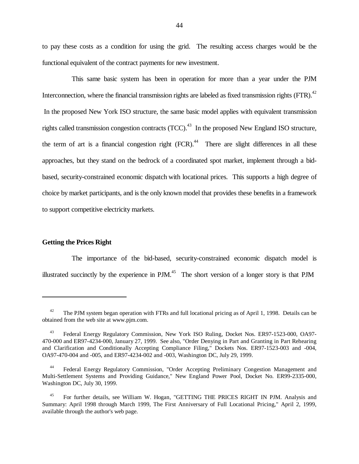to pay these costs as a condition for using the grid. The resulting access charges would be the functional equivalent of the contract payments for new investment.

This same basic system has been in operation for more than a year under the PJM Interconnection, where the financial transmission rights are labeled as fixed transmission rights  $(FTR)$ .<sup>42</sup> In the proposed New York ISO structure, the same basic model applies with equivalent transmission rights called transmission congestion contracts (TCC).<sup>43</sup> In the proposed New England ISO structure, the term of art is a financial congestion right  $(FCR)$ .<sup>44</sup> There are slight differences in all these approaches, but they stand on the bedrock of a coordinated spot market, implement through a bidbased, security-constrained economic dispatch with locational prices. This supports a high degree of choice by market participants, and is the only known model that provides these benefits in a framework to support competitive electricity markets.

## **Getting the Prices Right**

÷,

The importance of the bid-based, security-constrained economic dispatch model is illustrated succinctly by the experience in  $PJM$ .<sup>45</sup> The short version of a longer story is that  $PJM$ 

The PJM system began operation with FTRs and full locational pricing as of April 1, 1998. Details can be obtained from the web site at www.pjm.com.

<sup>&</sup>lt;sup>43</sup> Federal Energy Regulatory Commission, New York ISO Ruling, Docket Nos. ER97-1523-000, OA97-470-000 and ER97-4234-000, January 27, 1999. See also, "Order Denying in Part and Granting in Part Rehearing and Clarification and Conditionally Accepting Compliance Filing," Dockets Nos. ER97-1523-003 and -004, OA97-470-004 and -005, and ER97-4234-002 and -003, Washington DC, July 29, 1999.

<sup>44</sup> Federal Energy Regulatory Commission, "Order Accepting Preliminary Congestion Management and Multi-Settlement Systems and Providing Guidance," New England Power Pool, Docket No. ER99-2335-000, Washington DC, July 30, 1999.

<sup>45</sup> For further details, see William W. Hogan, "GETTING THE PRICES RIGHT IN PJM. Analysis and Summary: April 1998 through March 1999, The First Anniversary of Full Locational Pricing," April 2, 1999, available through the author's web page.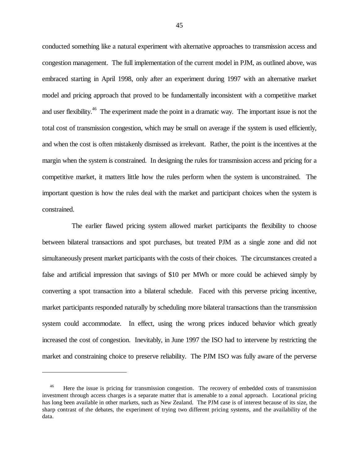conducted something like a natural experiment with alternative approaches to transmission access and congestion management. The full implementation of the current model in PJM, as outlined above, was embraced starting in April 1998, only after an experiment during 1997 with an alternative market model and pricing approach that proved to be fundamentally inconsistent with a competitive market and user flexibility.<sup>46</sup> The experiment made the point in a dramatic way. The important issue is not the total cost of transmission congestion, which may be small on average if the system is used efficiently, and when the cost is often mistakenly dismissed as irrelevant. Rather, the point is the incentives at the margin when the system is constrained. In designing the rules for transmission access and pricing for a competitive market, it matters little how the rules perform when the system is unconstrained. The important question is how the rules deal with the market and participant choices when the system is constrained.

The earlier flawed pricing system allowed market participants the flexibility to choose between bilateral transactions and spot purchases, but treated PJM as a single zone and did not simultaneously present market participants with the costs of their choices. The circumstances created a false and artificial impression that savings of \$10 per MWh or more could be achieved simply by converting a spot transaction into a bilateral schedule. Faced with this perverse pricing incentive, market participants responded naturally by scheduling more bilateral transactions than the transmission system could accommodate. In effect, using the wrong prices induced behavior which greatly increased the cost of congestion. Inevitably, in June 1997 the ISO had to intervene by restricting the market and constraining choice to preserve reliability. The PJM ISO was fully aware of the perverse

<sup>&</sup>lt;sup>46</sup> Here the issue is pricing for transmission congestion. The recovery of embedded costs of transmission investment through access charges is a separate matter that is amenable to a zonal approach. Locational pricing has long been available in other markets, such as New Zealand. The PJM case is of interest because of its size, the sharp contrast of the debates, the experiment of trying two different pricing systems, and the availability of the data.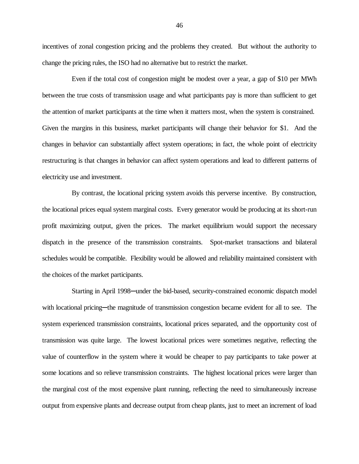incentives of zonal congestion pricing and the problems they created. But without the authority to change the pricing rules, the ISO had no alternative but to restrict the market.

Even if the total cost of congestion might be modest over a year, a gap of \$10 per MWh between the true costs of transmission usage and what participants pay is more than sufficient to get the attention of market participants at the time when it matters most, when the system is constrained. Given the margins in this business, market participants will change their behavior for \$1. And the changes in behavior can substantially affect system operations; in fact, the whole point of electricity restructuring is that changes in behavior can affect system operations and lead to different patterns of electricity use and investment.

By contrast, the locational pricing system avoids this perverse incentive. By construction, the locational prices equal system marginal costs. Every generator would be producing at its short-run profit maximizing output, given the prices. The market equilibrium would support the necessary dispatch in the presence of the transmission constraints. Spot-market transactions and bilateral schedules would be compatible. Flexibility would be allowed and reliability maintained consistent with the choices of the market participants.

Starting in April 1998—under the bid-based, security-constrained economic dispatch model with locational pricing—the magnitude of transmission congestion became evident for all to see. The system experienced transmission constraints, locational prices separated, and the opportunity cost of transmission was quite large. The lowest locational prices were sometimes negative, reflecting the value of counterflow in the system where it would be cheaper to pay participants to take power at some locations and so relieve transmission constraints. The highest locational prices were larger than the marginal cost of the most expensive plant running, reflecting the need to simultaneously increase output from expensive plants and decrease output from cheap plants, just to meet an increment of load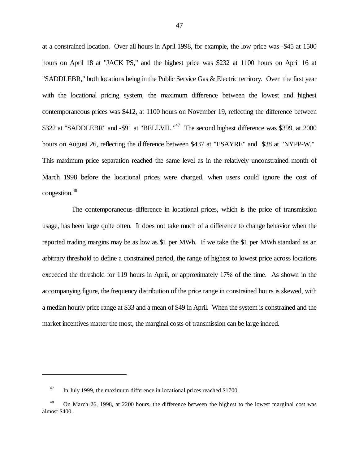at a constrained location. Over all hours in April 1998, for example, the low price was -\$45 at 1500 hours on April 18 at "JACK PS," and the highest price was \$232 at 1100 hours on April 16 at "SADDLEBR," both locations being in the Public Service Gas & Electric territory. Over the first year with the locational pricing system, the maximum difference between the lowest and highest contemporaneous prices was \$412, at 1100 hours on November 19, reflecting the difference between \$322 at "SADDLEBR" and -\$91 at "BELLVIL."<sup>47</sup> The second highest difference was \$399, at 2000 hours on August 26, reflecting the difference between \$437 at "ESAYRE" and \$38 at "NYPP-W." This maximum price separation reached the same level as in the relatively unconstrained month of March 1998 before the locational prices were charged, when users could ignore the cost of congestion.<sup>48</sup>

The contemporaneous difference in locational prices, which is the price of transmission usage, has been large quite often. It does not take much of a difference to change behavior when the reported trading margins may be as low as \$1 per MWh. If we take the \$1 per MWh standard as an arbitrary threshold to define a constrained period, the range of highest to lowest price across locations exceeded the threshold for 119 hours in April, or approximately 17% of the time. As shown in the accompanying figure, the frequency distribution of the price range in constrained hours is skewed, with a median hourly price range at \$33 and a mean of \$49 in April. When the system is constrained and the market incentives matter the most, the marginal costs of transmission can be large indeed.

<sup>&</sup>lt;sup>47</sup> In July 1999, the maximum difference in locational prices reached \$1700.

<sup>&</sup>lt;sup>48</sup> On March 26, 1998, at 2200 hours, the difference between the highest to the lowest marginal cost was almost \$400.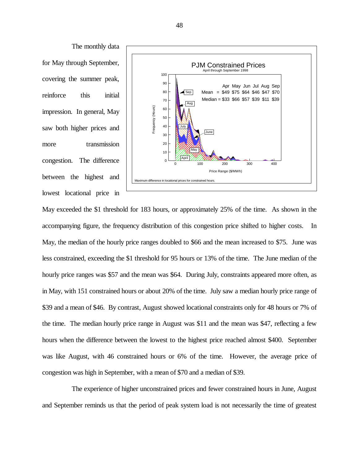The monthly data for May through September, covering the summer peak, reinforce this initial impression. In general, May saw both higher prices and more transmission congestion. The difference between the highest and lowest locational price in



May exceeded the \$1 threshold for 183 hours, or approximately 25% of the time. As shown in the accompanying figure, the frequency distribution of this congestion price shifted to higher costs. In May, the median of the hourly price ranges doubled to \$66 and the mean increased to \$75. June was less constrained, exceeding the \$1 threshold for 95 hours or 13% of the time. The June median of the hourly price ranges was \$57 and the mean was \$64. During July, constraints appeared more often, as in May, with 151 constrained hours or about 20% of the time. July saw a median hourly price range of \$39 and a mean of \$46. By contrast, August showed locational constraints only for 48 hours or 7% of the time. The median hourly price range in August was \$11 and the mean was \$47, reflecting a few hours when the difference between the lowest to the highest price reached almost \$400. September was like August, with 46 constrained hours or 6% of the time. However, the average price of congestion was high in September, with a mean of \$70 and a median of \$39.

The experience of higher unconstrained prices and fewer constrained hours in June, August and September reminds us that the period of peak system load is not necessarily the time of greatest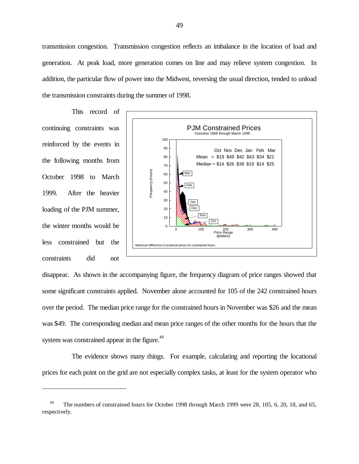transmission congestion. Transmission congestion reflects an imbalance in the location of load and generation. At peak load, more generation comes on line and may relieve system congestion. In addition, the particular flow of power into the Midwest, reversing the usual direction, tended to unload the transmission constraints during the summer of 1998.

This record of continuing constraints was reinforced by the events in the following months from October 1998 to March 1999. After the heavier loading of the PJM summer, the winter months would be less constrained but the constraints did not

÷,



disappear. As shown in the accompanying figure, the frequency diagram of price ranges showed that some significant constraints applied. November alone accounted for 105 of the 242 constrained hours over the period. The median price range for the constrained hours in November was \$26 and the mean was \$49. The corresponding median and mean price ranges of the other months for the hours that the system was constrained appear in the figure.<sup>49</sup>

The evidence shows many things. For example, calculating and reporting the locational prices for each point on the grid are not especially complex tasks, at least for the system operator who

<sup>&</sup>lt;sup>49</sup> The numbers of constrained hours for October 1998 through March 1999 were 28, 105, 6, 20, 18, and 65, respectively.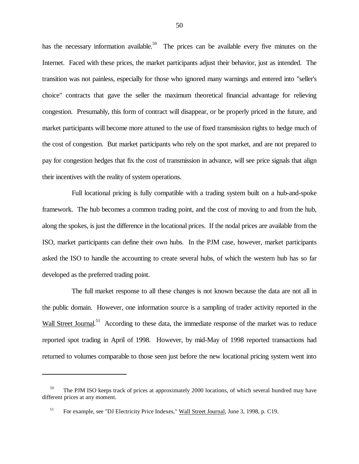has the necessary information available.<sup>50</sup> The prices can be available every five minutes on the Internet. Faced with these prices, the market participants adjust their behavior, just as intended. The transition was not painless, especially for those who ignored many warnings and entered into "seller's choice" contracts that gave the seller the maximum theoretical financial advantage for relieving congestion. Presumably, this form of contract will disappear, or be properly priced in the future, and market participants will become more attuned to the use of fixed transmission rights to hedge much of the cost of congestion. But market participants who rely on the spot market, and are not prepared to pay for congestion hedges that fix the cost of transmission in advance, will see price signals that align their incentives with the reality of system operations.

Full locational pricing is fully compatible with a trading system built on a hub-and-spoke framework. The hub becomes a common trading point, and the cost of moving to and from the hub, along the spokes, is just the difference in the locational prices. If the nodal prices are available from the ISO, market participants can define their own hubs. In the PJM case, however, market participants asked the ISO to handle the accounting to create several hubs, of which the western hub has so far developed as the preferred trading point.

The full market response to all these changes is not known because the data are not all in the public domain. However, one information source is a sampling of trader activity reported in the Wall Street Journal.<sup>51</sup> According to these data, the immediate response of the market was to reduce reported spot trading in April of 1998. However, by mid-May of 1998 reported transactions had returned to volumes comparable to those seen just before the new locational pricing system went into

<sup>&</sup>lt;sup>50</sup> The PJM ISO keeps track of prices at approximately 2000 locations, of which several hundred may have different prices at any moment.

<sup>&</sup>lt;sup>51</sup> For example, see "DJ Electricity Price Indexes," Wall Street Journal, June 3, 1998, p. C19.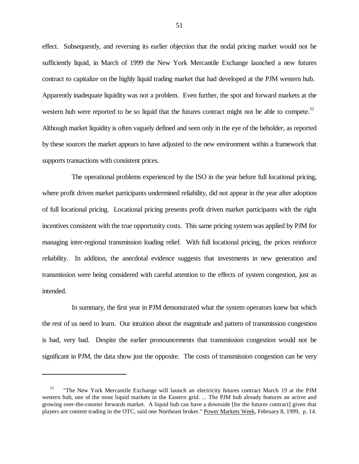effect. Subsequently, and reversing its earlier objection that the nodal pricing market would not be sufficiently liquid, in March of 1999 the New York Mercantile Exchange launched a new futures contract to capitalize on the highly liquid trading market that had developed at the PJM western hub. Apparently inadequate liquidity was not a problem. Even further, the spot and forward markets at the western hub were reported to be so liquid that the futures contract might not be able to compete. $52$ Although market liquidity is often vaguely defined and seen only in the eye of the beholder, as reported by these sources the market appears to have adjusted to the new environment within a framework that supports transactions with consistent prices.

The operational problems experienced by the ISO in the year before full locational pricing, where profit driven market participants undermined reliability, did not appear in the year after adoption of full locational pricing. Locational pricing presents profit driven market participants with the right incentives consistent with the true opportunity costs. This same pricing system was applied by PJM for managing inter-regional transmission loading relief. With full locational pricing, the prices reinforce reliability. In addition, the anecdotal evidence suggests that investments in new generation and transmission were being considered with careful attention to the effects of system congestion, just as intended.

In summary, the first year in PJM demonstrated what the system operators knew but which the rest of us need to learn. Our intuition about the magnitude and pattern of transmission congestion is bad, very bad. Despite the earlier pronouncements that transmission congestion would not be significant in PJM, the data show just the opposite. The costs of transmission congestion can be very

<sup>&</sup>lt;sup>52</sup> "The New York Mercantile Exchange will launch an electricity futures contract March 19 at the PJM western hub, one of the most liquid markets in the Eastern grid. ... The PJM hub already features an active and growing over-the-counter forwards market. A liquid hub can have a downside [for the futures contract] given that players are content trading in the OTC, said one Northeast broker." Power Markets Week, February 8, 1999, p. 14.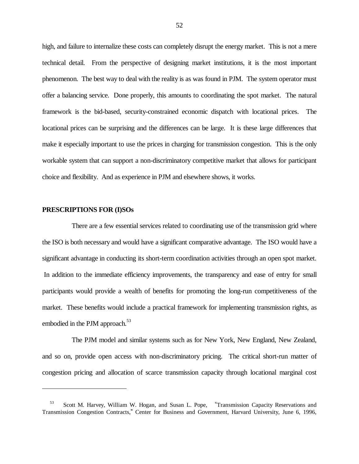high, and failure to internalize these costs can completely disrupt the energy market. This is not a mere technical detail. From the perspective of designing market institutions, it is the most important phenomenon. The best way to deal with the reality is as was found in PJM. The system operator must offer a balancing service. Done properly, this amounts to coordinating the spot market. The natural framework is the bid-based, security-constrained economic dispatch with locational prices. The locational prices can be surprising and the differences can be large. It is these large differences that make it especially important to use the prices in charging for transmission congestion. This is the only workable system that can support a non-discriminatory competitive market that allows for participant choice and flexibility. And as experience in PJM and elsewhere shows, it works.

### **PRESCRIPTIONS FOR (I)SOs**

÷,

There are a few essential services related to coordinating use of the transmission grid where the ISO is both necessary and would have a significant comparative advantage. The ISO would have a significant advantage in conducting its short-term coordination activities through an open spot market. In addition to the immediate efficiency improvements, the transparency and ease of entry for small participants would provide a wealth of benefits for promoting the long-run competitiveness of the market. These benefits would include a practical framework for implementing transmission rights, as embodied in the PJM approach.<sup>53</sup>

The PJM model and similar systems such as for New York, New England, New Zealand, and so on, provide open access with non-discriminatory pricing. The critical short-run matter of congestion pricing and allocation of scarce transmission capacity through locational marginal cost

<sup>&</sup>lt;sup>53</sup> Scott M. Harvey, William W. Hogan, and Susan L. Pope, "Transmission Capacity Reservations and Transmission Congestion Contracts," Center for Business and Government, Harvard University, June 6, 1996,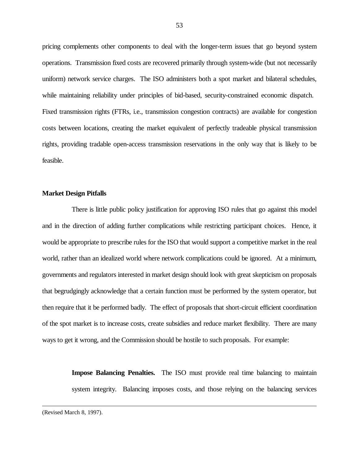pricing complements other components to deal with the longer-term issues that go beyond system operations. Transmission fixed costs are recovered primarily through system-wide (but not necessarily uniform) network service charges. The ISO administers both a spot market and bilateral schedules, while maintaining reliability under principles of bid-based, security-constrained economic dispatch. Fixed transmission rights (FTRs, i.e., transmission congestion contracts) are available for congestion costs between locations, creating the market equivalent of perfectly tradeable physical transmission rights, providing tradable open-access transmission reservations in the only way that is likely to be feasible.

# **Market Design Pitfalls**

There is little public policy justification for approving ISO rules that go against this model and in the direction of adding further complications while restricting participant choices. Hence, it would be appropriate to prescribe rules for the ISO that would support a competitive market in the real world, rather than an idealized world where network complications could be ignored. At a minimum, governments and regulators interested in market design should look with great skepticism on proposals that begrudgingly acknowledge that a certain function must be performed by the system operator, but then require that it be performed badly. The effect of proposals that short-circuit efficient coordination of the spot market is to increase costs, create subsidies and reduce market flexibility. There are many ways to get it wrong, and the Commission should be hostile to such proposals. For example:

> **Impose Balancing Penalties.** The ISO must provide real time balancing to maintain system integrity. Balancing imposes costs, and those relying on the balancing services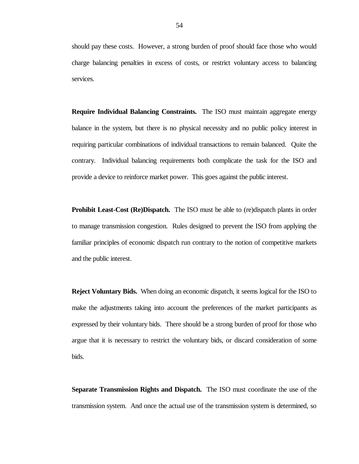should pay these costs. However, a strong burden of proof should face those who would charge balancing penalties in excess of costs, or restrict voluntary access to balancing services.

**Require Individual Balancing Constraints.** The ISO must maintain aggregate energy balance in the system, but there is no physical necessity and no public policy interest in requiring particular combinations of individual transactions to remain balanced. Quite the contrary. Individual balancing requirements both complicate the task for the ISO and provide a device to reinforce market power. This goes against the public interest.

**Prohibit Least-Cost (Re)Dispatch.** The ISO must be able to (re)dispatch plants in order to manage transmission congestion. Rules designed to prevent the ISO from applying the familiar principles of economic dispatch run contrary to the notion of competitive markets and the public interest.

**Reject Voluntary Bids.** When doing an economic dispatch, it seems logical for the ISO to make the adjustments taking into account the preferences of the market participants as expressed by their voluntary bids. There should be a strong burden of proof for those who argue that it is necessary to restrict the voluntary bids, or discard consideration of some bids.

**Separate Transmission Rights and Dispatch.** The ISO must coordinate the use of the transmission system. And once the actual use of the transmission system is determined, so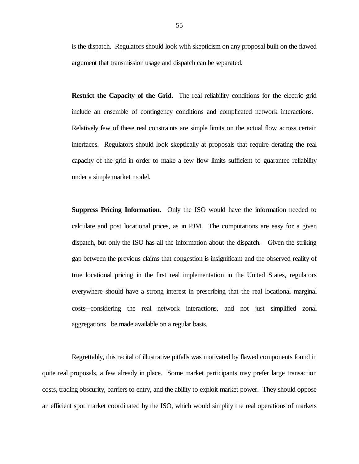is the dispatch. Regulators should look with skepticism on any proposal built on the flawed argument that transmission usage and dispatch can be separated.

**Restrict the Capacity of the Grid.** The real reliability conditions for the electric grid include an ensemble of contingency conditions and complicated network interactions. Relatively few of these real constraints are simple limits on the actual flow across certain interfaces. Regulators should look skeptically at proposals that require derating the real capacity of the grid in order to make a few flow limits sufficient to guarantee reliability under a simple market model.

**Suppress Pricing Information.** Only the ISO would have the information needed to calculate and post locational prices, as in PJM. The computations are easy for a given dispatch, but only the ISO has all the information about the dispatch. Given the striking gap between the previous claims that congestion is insignificant and the observed reality of true locational pricing in the first real implementation in the United States, regulators everywhere should have a strong interest in prescribing that the real locational marginal costs—considering the real network interactions, and not just simplified zonal aggregations—be made available on a regular basis.

Regrettably, this recital of illustrative pitfalls was motivated by flawed components found in quite real proposals, a few already in place. Some market participants may prefer large transaction costs, trading obscurity, barriers to entry, and the ability to exploit market power. They should oppose an efficient spot market coordinated by the ISO, which would simplify the real operations of markets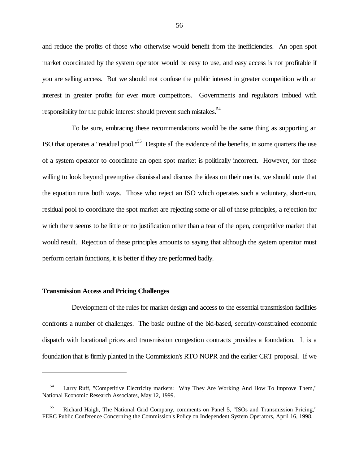and reduce the profits of those who otherwise would benefit from the inefficiencies. An open spot market coordinated by the system operator would be easy to use, and easy access is not profitable if you are selling access. But we should not confuse the public interest in greater competition with an interest in greater profits for ever more competitors. Governments and regulators imbued with responsibility for the public interest should prevent such mistakes.<sup>54</sup>

To be sure, embracing these recommendations would be the same thing as supporting an ISO that operates a "residual pool."<sup>55</sup> Despite all the evidence of the benefits, in some quarters the use of a system operator to coordinate an open spot market is politically incorrect. However, for those willing to look beyond preemptive dismissal and discuss the ideas on their merits, we should note that the equation runs both ways. Those who reject an ISO which operates such a voluntary, short-run, residual pool to coordinate the spot market are rejecting some or all of these principles, a rejection for which there seems to be little or no justification other than a fear of the open, competitive market that would result. Rejection of these principles amounts to saying that although the system operator must perform certain functions, it is better if they are performed badly.

## **Transmission Access and Pricing Challenges**

÷,

Development of the rules for market design and access to the essential transmission facilities confronts a number of challenges. The basic outline of the bid-based, security-constrained economic dispatch with locational prices and transmission congestion contracts provides a foundation. It is a foundation that is firmly planted in the Commission's RTO NOPR and the earlier CRT proposal. If we

<sup>&</sup>lt;sup>54</sup> Larry Ruff, "Competitive Electricity markets: Why They Are Working And How To Improve Them," National Economic Research Associates, May 12, 1999.

Richard Haigh, The National Grid Company, comments on Panel 5, "ISOs and Transmission Pricing," FERC Public Conference Concerning the Commission's Policy on Independent System Operators, April 16, 1998.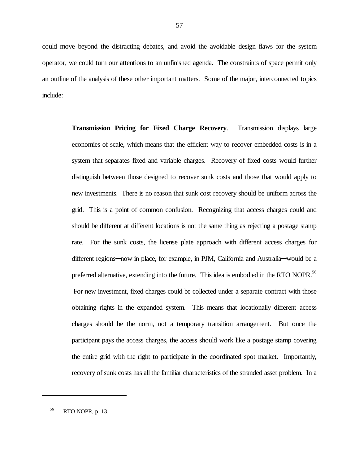could move beyond the distracting debates, and avoid the avoidable design flaws for the system operator, we could turn our attentions to an unfinished agenda. The constraints of space permit only an outline of the analysis of these other important matters. Some of the major, interconnected topics include:

> **Transmission Pricing for Fixed Charge Recovery**. Transmission displays large economies of scale, which means that the efficient way to recover embedded costs is in a system that separates fixed and variable charges. Recovery of fixed costs would further distinguish between those designed to recover sunk costs and those that would apply to new investments. There is no reason that sunk cost recovery should be uniform across the grid. This is a point of common confusion. Recognizing that access charges could and should be different at different locations is not the same thing as rejecting a postage stamp rate. For the sunk costs, the license plate approach with different access charges for different regions—now in place, for example, in PJM, California and Australia—would be a preferred alternative, extending into the future. This idea is embodied in the RTO NOPR.<sup>56</sup> For new investment, fixed charges could be collected under a separate contract with those obtaining rights in the expanded system. This means that locationally different access charges should be the norm, not a temporary transition arrangement. But once the participant pays the access charges, the access should work like a postage stamp covering the entire grid with the right to participate in the coordinated spot market. Importantly, recovery of sunk costs has all the familiar characteristics of the stranded asset problem. In a

<sup>56</sup> RTO NOPR, p. 13.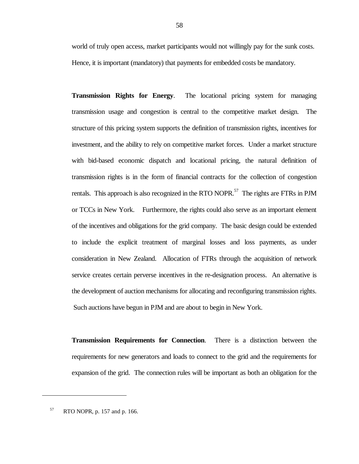world of truly open access, market participants would not willingly pay for the sunk costs. Hence, it is important (mandatory) that payments for embedded costs be mandatory.

**Transmission Rights for Energy**. The locational pricing system for managing transmission usage and congestion is central to the competitive market design. The structure of this pricing system supports the definition of transmission rights, incentives for investment, and the ability to rely on competitive market forces. Under a market structure with bid-based economic dispatch and locational pricing, the natural definition of transmission rights is in the form of financial contracts for the collection of congestion rentals. This approach is also recognized in the RTO NOPR.<sup>57</sup> The rights are FTRs in PJM or TCCs in New York. Furthermore, the rights could also serve as an important element of the incentives and obligations for the grid company. The basic design could be extended to include the explicit treatment of marginal losses and loss payments, as under consideration in New Zealand. Allocation of FTRs through the acquisition of network service creates certain perverse incentives in the re-designation process. An alternative is the development of auction mechanisms for allocating and reconfiguring transmission rights. Such auctions have begun in PJM and are about to begin in New York.

**Transmission Requirements for Connection**. There is a distinction between the requirements for new generators and loads to connect to the grid and the requirements for expansion of the grid. The connection rules will be important as both an obligation for the

<sup>57</sup> RTO NOPR, p. 157 and p. 166.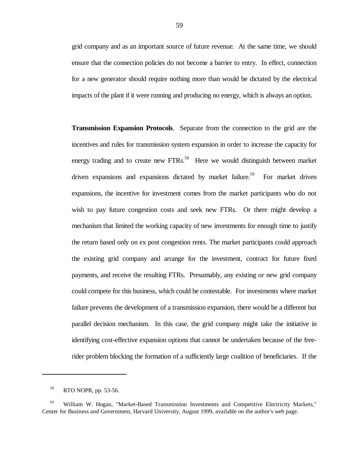grid company and as an important source of future revenue. At the same time, we should ensure that the connection policies do not become a barrier to entry. In effect, connection for a new generator should require nothing more than would be dictated by the electrical impacts of the plant if it were running and producing no energy, which is always an option.

**Transmission Expansion Protocols**. Separate from the connection to the grid are the incentives and rules for transmission system expansion in order to increase the capacity for energy trading and to create new  $FTRs.<sup>58</sup>$  Here we would distinguish between market driven expansions and expansions dictated by market failure.<sup>59</sup> For market driven expansions, the incentive for investment comes from the market participants who do not wish to pay future congestion costs and seek new FTRs. Or there might develop a mechanism that limited the working capacity of new investments for enough time to justify the return based only on ex post congestion rents. The market participants could approach the existing grid company and arrange for the investment, contract for future fixed payments, and receive the resulting FTRs. Presumably, any existing or new grid company could compete for this business, which could be contestable. For investments where market failure prevents the development of a transmission expansion, there would be a different but parallel decision mechanism. In this case, the grid company might take the initiative in identifying cost-effective expansion options that cannot be undertaken because of the freerider problem blocking the formation of a sufficiently large coalition of beneficiaries. If the

<sup>58</sup> RTO NOPR, pp. 53-56.

<sup>&</sup>lt;sup>59</sup> William W. Hogan, "Market-Based Transmission Investments and Competitive Electricity Markets," Center for Business and Government, Harvard University, August 1999, available on the author's web page.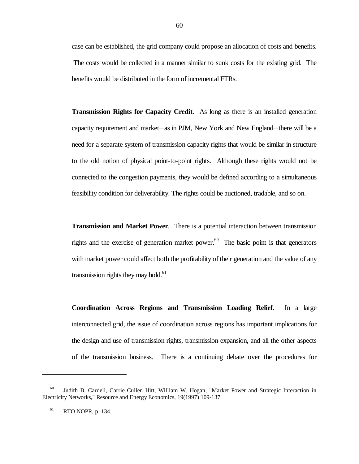case can be established, the grid company could propose an allocation of costs and benefits. The costs would be collected in a manner similar to sunk costs for the existing grid. The benefits would be distributed in the form of incremental FTRs.

**Transmission Rights for Capacity Credit**. As long as there is an installed generation capacity requirement and market—as in PJM, New York and New England—there will be a need for a separate system of transmission capacity rights that would be similar in structure to the old notion of physical point-to-point rights. Although these rights would not be connected to the congestion payments, they would be defined according to a simultaneous feasibility condition for deliverability. The rights could be auctioned, tradable, and so on.

**Transmission and Market Power**. There is a potential interaction between transmission rights and the exercise of generation market power. $60$  The basic point is that generators with market power could affect both the profitability of their generation and the value of any transmission rights they may hold. $^{61}$ 

**Coordination Across Regions and Transmission Loading Relief**. In a large interconnected grid, the issue of coordination across regions has important implications for the design and use of transmission rights, transmission expansion, and all the other aspects of the transmission business. There is a continuing debate over the procedures for

<sup>60</sup> Judith B. Cardell, Carrie Cullen Hitt, William W. Hogan, "Market Power and Strategic Interaction in Electricity Networks," Resource and Energy Economics, 19(1997) 109-137.

 $61$  RTO NOPR, p. 134.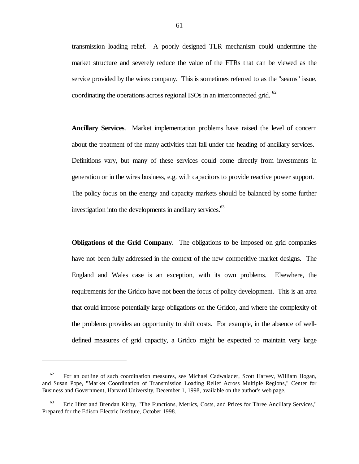transmission loading relief. A poorly designed TLR mechanism could undermine the market structure and severely reduce the value of the FTRs that can be viewed as the service provided by the wires company. This is sometimes referred to as the "seams" issue, coordinating the operations across regional ISOs in an interconnected grid.  $62$ 

**Ancillary Services**. Market implementation problems have raised the level of concern about the treatment of the many activities that fall under the heading of ancillary services. Definitions vary, but many of these services could come directly from investments in generation or in the wires business, e.g. with capacitors to provide reactive power support. The policy focus on the energy and capacity markets should be balanced by some further investigation into the developments in ancillary services.<sup>63</sup>

**Obligations of the Grid Company**. The obligations to be imposed on grid companies have not been fully addressed in the context of the new competitive market designs. The England and Wales case is an exception, with its own problems. Elsewhere, the requirements for the Gridco have not been the focus of policy development. This is an area that could impose potentially large obligations on the Gridco, and where the complexity of the problems provides an opportunity to shift costs. For example, in the absence of welldefined measures of grid capacity, a Gridco might be expected to maintain very large

<sup>&</sup>lt;sup>62</sup> For an outline of such coordination measures, see Michael Cadwalader, Scott Harvey, William Hogan, and Susan Pope, "Market Coordination of Transmission Loading Relief Across Multiple Regions," Center for Business and Government, Harvard University, December 1, 1998, available on the author's web page.

Eric Hirst and Brendan Kirby, "The Functions, Metrics, Costs, and Prices for Three Ancillary Services," Prepared for the Edison Electric Institute, October 1998.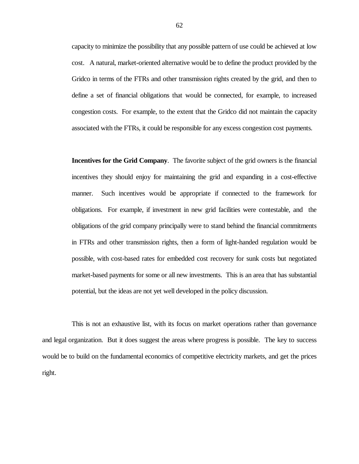capacity to minimize the possibility that any possible pattern of use could be achieved at low cost. A natural, market-oriented alternative would be to define the product provided by the Gridco in terms of the FTRs and other transmission rights created by the grid, and then to define a set of financial obligations that would be connected, for example, to increased congestion costs. For example, to the extent that the Gridco did not maintain the capacity associated with the FTRs, it could be responsible for any excess congestion cost payments.

**Incentives for the Grid Company**. The favorite subject of the grid owners is the financial incentives they should enjoy for maintaining the grid and expanding in a cost-effective manner. Such incentives would be appropriate if connected to the framework for obligations. For example, if investment in new grid facilities were contestable, and the obligations of the grid company principally were to stand behind the financial commitments in FTRs and other transmission rights, then a form of light-handed regulation would be possible, with cost-based rates for embedded cost recovery for sunk costs but negotiated market-based payments for some or all new investments. This is an area that has substantial potential, but the ideas are not yet well developed in the policy discussion.

This is not an exhaustive list, with its focus on market operations rather than governance and legal organization. But it does suggest the areas where progress is possible. The key to success would be to build on the fundamental economics of competitive electricity markets, and get the prices right.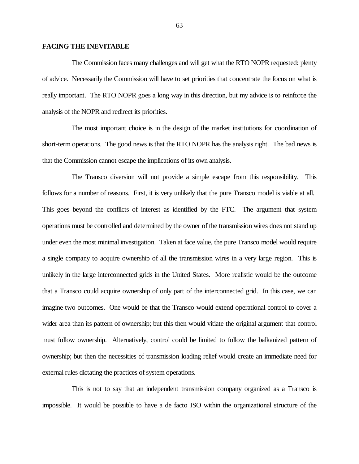# **FACING THE INEVITABLE**

The Commission faces many challenges and will get what the RTO NOPR requested: plenty of advice. Necessarily the Commission will have to set priorities that concentrate the focus on what is really important. The RTO NOPR goes a long way in this direction, but my advice is to reinforce the analysis of the NOPR and redirect its priorities.

The most important choice is in the design of the market institutions for coordination of short-term operations. The good news is that the RTO NOPR has the analysis right. The bad news is that the Commission cannot escape the implications of its own analysis.

The Transco diversion will not provide a simple escape from this responsibility. This follows for a number of reasons. First, it is very unlikely that the pure Transco model is viable at all. This goes beyond the conflicts of interest as identified by the FTC. The argument that system operations must be controlled and determined by the owner of the transmission wires does not stand up under even the most minimal investigation. Taken at face value, the pure Transco model would require a single company to acquire ownership of all the transmission wires in a very large region. This is unlikely in the large interconnected grids in the United States. More realistic would be the outcome that a Transco could acquire ownership of only part of the interconnected grid. In this case, we can imagine two outcomes. One would be that the Transco would extend operational control to cover a wider area than its pattern of ownership; but this then would vitiate the original argument that control must follow ownership. Alternatively, control could be limited to follow the balkanized pattern of ownership; but then the necessities of transmission loading relief would create an immediate need for external rules dictating the practices of system operations.

This is not to say that an independent transmission company organized as a Transco is impossible. It would be possible to have a de facto ISO within the organizational structure of the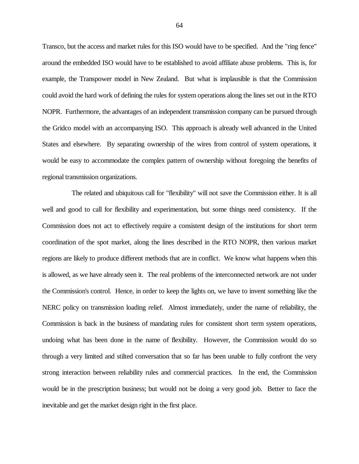Transco, but the access and market rules for this ISO would have to be specified. And the "ring fence" around the embedded ISO would have to be established to avoid affiliate abuse problems. This is, for example, the Transpower model in New Zealand. But what is implausible is that the Commission could avoid the hard work of defining the rules for system operations along the lines set out in the RTO NOPR. Furthermore, the advantages of an independent transmission company can be pursued through the Gridco model with an accompanying ISO. This approach is already well advanced in the United States and elsewhere. By separating ownership of the wires from control of system operations, it would be easy to accommodate the complex pattern of ownership without foregoing the benefits of regional transmission organizations.

The related and ubiquitous call for "flexibility" will not save the Commission either. It is all well and good to call for flexibility and experimentation, but some things need consistency. If the Commission does not act to effectively require a consistent design of the institutions for short term coordination of the spot market, along the lines described in the RTO NOPR, then various market regions are likely to produce different methods that are in conflict. We know what happens when this is allowed, as we have already seen it. The real problems of the interconnected network are not under the Commission's control. Hence, in order to keep the lights on, we have to invent something like the NERC policy on transmission loading relief. Almost immediately, under the name of reliability, the Commission is back in the business of mandating rules for consistent short term system operations, undoing what has been done in the name of flexibility. However, the Commission would do so through a very limited and stilted conversation that so far has been unable to fully confront the very strong interaction between reliability rules and commercial practices. In the end, the Commission would be in the prescription business; but would not be doing a very good job. Better to face the inevitable and get the market design right in the first place.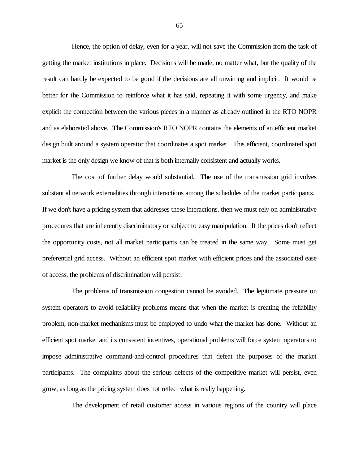Hence, the option of delay, even for a year, will not save the Commission from the task of getting the market institutions in place. Decisions will be made, no matter what, but the quality of the result can hardly be expected to be good if the decisions are all unwitting and implicit. It would be better for the Commission to reinforce what it has said, repeating it with some urgency, and make explicit the connection between the various pieces in a manner as already outlined in the RTO NOPR and as elaborated above. The Commission's RTO NOPR contains the elements of an efficient market design built around a system operator that coordinates a spot market. This efficient, coordinated spot market is the only design we know of that is both internally consistent and actually works.

The cost of further delay would substantial. The use of the transmission grid involves substantial network externalities through interactions among the schedules of the market participants. If we don't have a pricing system that addresses these interactions, then we must rely on administrative procedures that are inherently discriminatory or subject to easy manipulation. If the prices don't reflect the opportunity costs, not all market participants can be treated in the same way. Some must get preferential grid access. Without an efficient spot market with efficient prices and the associated ease of access, the problems of discrimination will persist.

The problems of transmission congestion cannot be avoided. The legitimate pressure on system operators to avoid reliability problems means that when the market is creating the reliability problem, non-market mechanisms must be employed to undo what the market has done. Without an efficient spot market and its consistent incentives, operational problems will force system operators to impose administrative command-and-control procedures that defeat the purposes of the market participants. The complaints about the serious defects of the competitive market will persist, even grow, as long as the pricing system does not reflect what is really happening.

The development of retail customer access in various regions of the country will place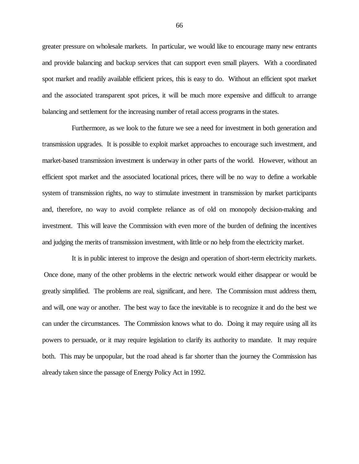greater pressure on wholesale markets. In particular, we would like to encourage many new entrants and provide balancing and backup services that can support even small players. With a coordinated spot market and readily available efficient prices, this is easy to do. Without an efficient spot market and the associated transparent spot prices, it will be much more expensive and difficult to arrange balancing and settlement for the increasing number of retail access programs in the states.

Furthermore, as we look to the future we see a need for investment in both generation and transmission upgrades. It is possible to exploit market approaches to encourage such investment, and market-based transmission investment is underway in other parts of the world. However, without an efficient spot market and the associated locational prices, there will be no way to define a workable system of transmission rights, no way to stimulate investment in transmission by market participants and, therefore, no way to avoid complete reliance as of old on monopoly decision-making and investment. This will leave the Commission with even more of the burden of defining the incentives and judging the merits of transmission investment, with little or no help from the electricity market.

It is in public interest to improve the design and operation of short-term electricity markets. Once done, many of the other problems in the electric network would either disappear or would be greatly simplified. The problems are real, significant, and here. The Commission must address them, and will, one way or another. The best way to face the inevitable is to recognize it and do the best we can under the circumstances. The Commission knows what to do. Doing it may require using all its powers to persuade, or it may require legislation to clarify its authority to mandate. It may require both. This may be unpopular, but the road ahead is far shorter than the journey the Commission has already taken since the passage of Energy Policy Act in 1992.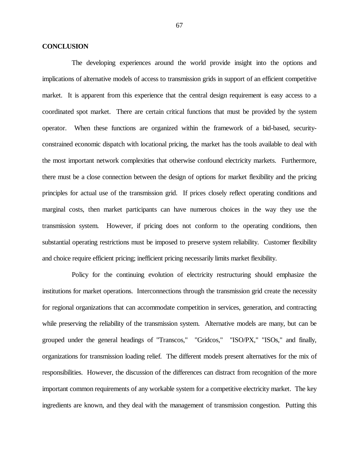## **CONCLUSION**

The developing experiences around the world provide insight into the options and implications of alternative models of access to transmission grids in support of an efficient competitive market. It is apparent from this experience that the central design requirement is easy access to a coordinated spot market. There are certain critical functions that must be provided by the system operator. When these functions are organized within the framework of a bid-based, securityconstrained economic dispatch with locational pricing, the market has the tools available to deal with the most important network complexities that otherwise confound electricity markets. Furthermore, there must be a close connection between the design of options for market flexibility and the pricing principles for actual use of the transmission grid. If prices closely reflect operating conditions and marginal costs, then market participants can have numerous choices in the way they use the transmission system. However, if pricing does not conform to the operating conditions, then substantial operating restrictions must be imposed to preserve system reliability. Customer flexibility and choice require efficient pricing; inefficient pricing necessarily limits market flexibility.

Policy for the continuing evolution of electricity restructuring should emphasize the institutions for market operations. Interconnections through the transmission grid create the necessity for regional organizations that can accommodate competition in services, generation, and contracting while preserving the reliability of the transmission system. Alternative models are many, but can be grouped under the general headings of "Transcos," "Gridcos," "ISO/PX," "ISOs," and finally, organizations for transmission loading relief. The different models present alternatives for the mix of responsibilities. However, the discussion of the differences can distract from recognition of the more important common requirements of any workable system for a competitive electricity market. The key ingredients are known, and they deal with the management of transmission congestion. Putting this